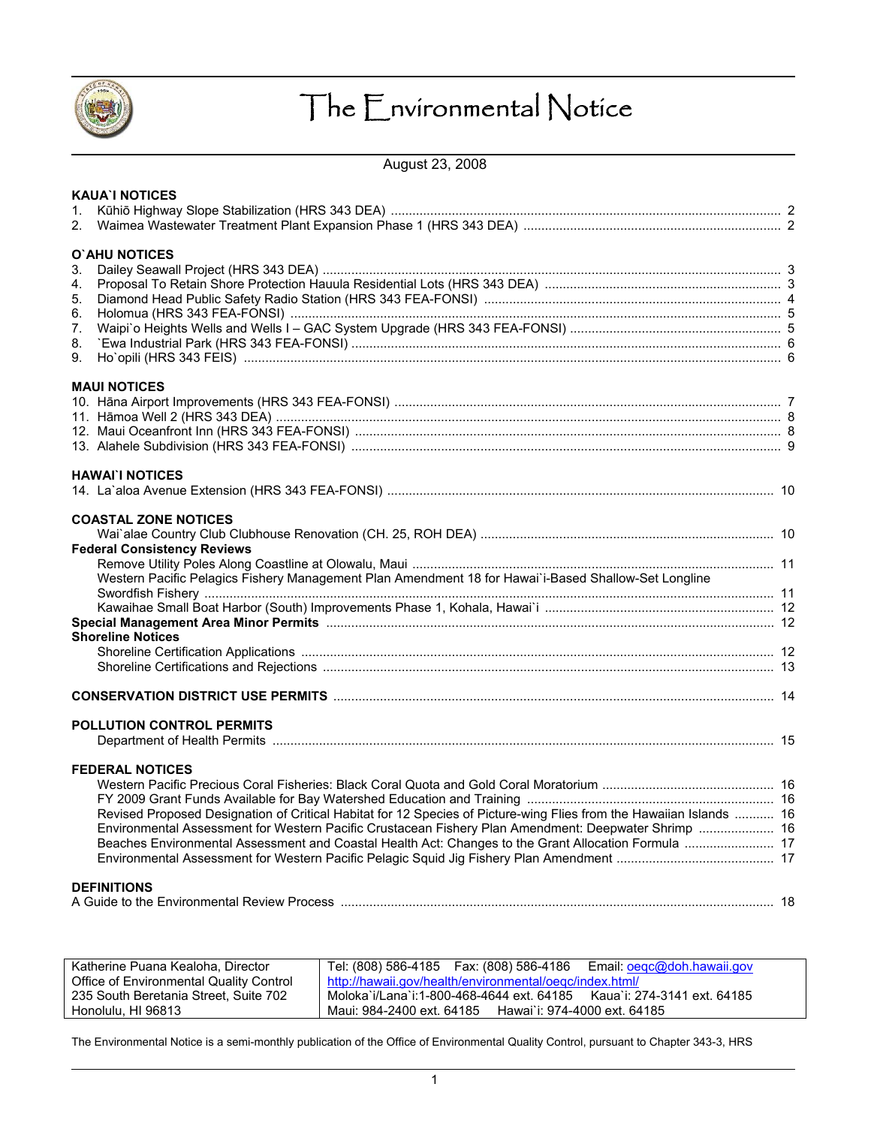

# The Environmental Notice

August 23, 2008

|              | <b>KAUA'I NOTICES</b>                                                                                               |  |
|--------------|---------------------------------------------------------------------------------------------------------------------|--|
| $\mathbf{1}$ |                                                                                                                     |  |
| 2.           |                                                                                                                     |  |
|              | O'AHU NOTICES                                                                                                       |  |
| 3.           |                                                                                                                     |  |
| 4.           |                                                                                                                     |  |
| 5.           |                                                                                                                     |  |
| 6.           |                                                                                                                     |  |
| 7.           |                                                                                                                     |  |
| 8.           |                                                                                                                     |  |
| 9.           |                                                                                                                     |  |
|              | <b>MAUI NOTICES</b>                                                                                                 |  |
|              |                                                                                                                     |  |
|              |                                                                                                                     |  |
|              |                                                                                                                     |  |
|              |                                                                                                                     |  |
|              |                                                                                                                     |  |
|              | <b>HAWAI'I NOTICES</b>                                                                                              |  |
|              |                                                                                                                     |  |
|              | <b>COASTAL ZONE NOTICES</b>                                                                                         |  |
|              |                                                                                                                     |  |
|              | <b>Federal Consistency Reviews</b>                                                                                  |  |
|              |                                                                                                                     |  |
|              | Western Pacific Pelagics Fishery Management Plan Amendment 18 for Hawai'i-Based Shallow-Set Longline                |  |
|              |                                                                                                                     |  |
|              |                                                                                                                     |  |
|              |                                                                                                                     |  |
|              | <b>Shoreline Notices</b>                                                                                            |  |
|              |                                                                                                                     |  |
|              |                                                                                                                     |  |
|              | <b>CONSERVATION DISTRICT USE PERMITS MARKET AND RESISTENT SERVER THE STATE OF A SERVATION DISTRICT USE</b>          |  |
|              |                                                                                                                     |  |
|              | <b>POLLUTION CONTROL PERMITS</b>                                                                                    |  |
|              |                                                                                                                     |  |
|              | <b>FEDERAL NOTICES</b>                                                                                              |  |
|              |                                                                                                                     |  |
|              |                                                                                                                     |  |
|              | Revised Proposed Designation of Critical Habitat for 12 Species of Picture-wing Flies from the Hawaiian Islands  16 |  |
|              | Environmental Assessment for Western Pacific Crustacean Fishery Plan Amendment: Deepwater Shrimp  16                |  |
|              | Beaches Environmental Assessment and Coastal Health Act: Changes to the Grant Allocation Formula  17                |  |
|              |                                                                                                                     |  |
|              | <b>DEFINITIONS</b>                                                                                                  |  |
|              |                                                                                                                     |  |
|              |                                                                                                                     |  |

| Katherine Puana Kealoha, Director       | Tel: (808) 586-4185    Fax: (808) 586-4186<br>Email: oegc@doh.hawaii.gov    |
|-----------------------------------------|-----------------------------------------------------------------------------|
| Office of Environmental Quality Control | http://hawaii.gov/health/environmental/oeqc/index.html/                     |
| 235 South Beretania Street, Suite 702   | ่ Moloka`i/Lana`i:1-800-468-4644 ext. 64185     Kaua`i: 274-3141 ext. 64185 |
| Honolulu, HI 96813                      | Maui: 984-2400 ext. 64185 Hawai`i: 974-4000 ext. 64185                      |

The Environmental Notice is a semi-monthly publication of the Office of Environmental Quality Control, pursuant to Chapter 343-3, HRS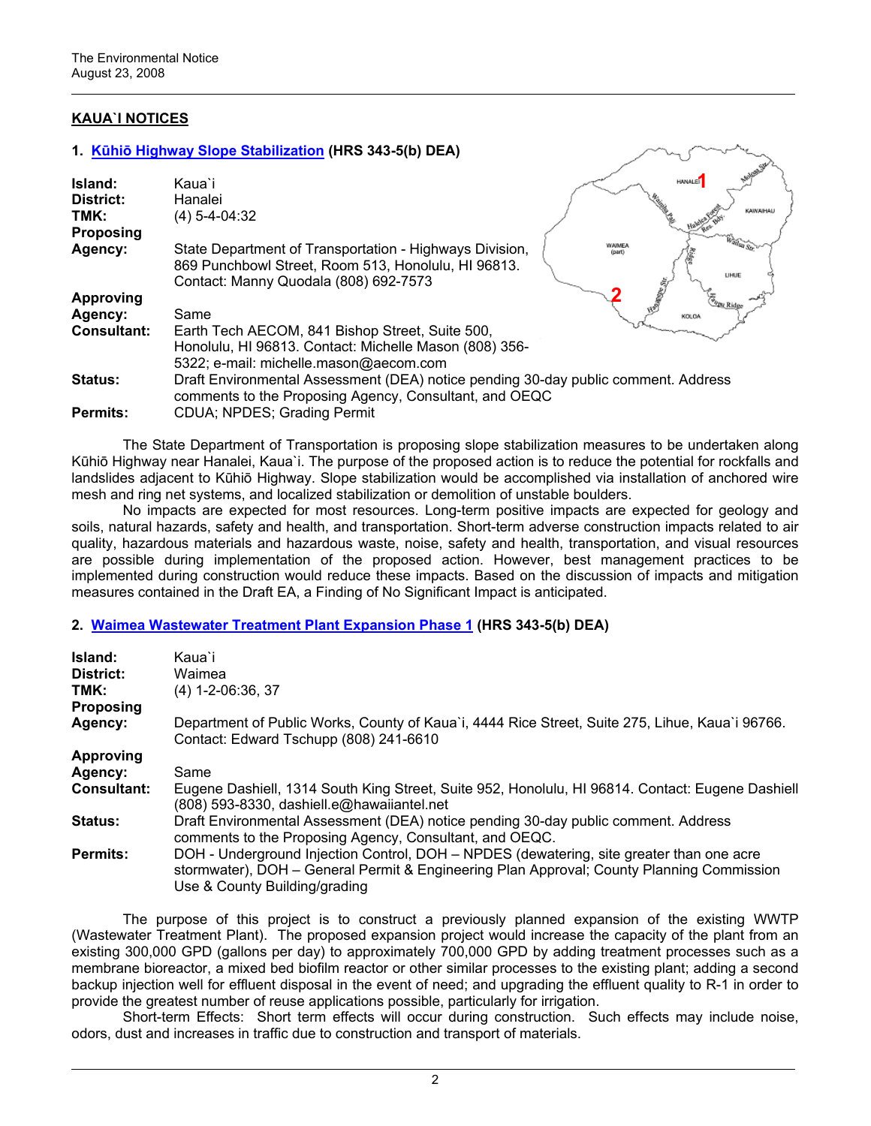# **KAUA`I NOTICES**

#### **1. Kūhiō [Highway Slope Stabilization](http://oeqc.doh.hawaii.gov/Shared%20Documents/EA_and_EIS_Online_Library/Kauai/2000s/2008-08-23-KA-DEA-Kuhio-Highway-Slope-Stabilization.pdf) (HRS 343-5(b) DEA)**

| Island:<br>District:<br>TMK:<br><b>Proposing</b> | Kaua`i<br>Hanalei<br>$(4) 5 - 4 - 04:32$                                                                                                                |                         | <b>HANALE!</b> | <b>KAWAIHAI</b> |
|--------------------------------------------------|---------------------------------------------------------------------------------------------------------------------------------------------------------|-------------------------|----------------|-----------------|
| Agency:                                          | State Department of Transportation - Highways Division,<br>869 Punchbowl Street, Room 513, Honolulu, HI 96813.<br>Contact: Manny Quodala (808) 692-7573 | <b>WAIMEA</b><br>(part) | <b>UHUE</b>    |                 |
| <b>Approving</b>                                 |                                                                                                                                                         |                         |                |                 |
| Agency:                                          | Same                                                                                                                                                    |                         | KOLOA          |                 |
| <b>Consultant:</b>                               | Earth Tech AECOM, 841 Bishop Street, Suite 500,<br>Honolulu, HI 96813. Contact: Michelle Mason (808) 356-<br>5322; e-mail: michelle.mason@aecom.com     |                         |                |                 |
| <b>Status:</b>                                   | Draft Environmental Assessment (DEA) notice pending 30-day public comment. Address<br>comments to the Proposing Agency, Consultant, and OEQC            |                         |                |                 |
| <b>Permits:</b>                                  | CDUA; NPDES; Grading Permit                                                                                                                             |                         |                |                 |

av d

The State Department of Transportation is proposing slope stabilization measures to be undertaken along Kūhiō Highway near Hanalei, Kaua`i. The purpose of the proposed action is to reduce the potential for rockfalls and landslides adjacent to Kūhiō Highway. Slope stabilization would be accomplished via installation of anchored wire mesh and ring net systems, and localized stabilization or demolition of unstable boulders.

No impacts are expected for most resources. Long-term positive impacts are expected for geology and soils, natural hazards, safety and health, and transportation. Short-term adverse construction impacts related to air quality, hazardous materials and hazardous waste, noise, safety and health, transportation, and visual resources are possible during implementation of the proposed action. However, best management practices to be implemented during construction would reduce these impacts. Based on the discussion of impacts and mitigation measures contained in the Draft EA, a Finding of No Significant Impact is anticipated.

# **2. [Waimea Wastewater Treatment Plant Expansion Phase 1](http://oeqc.doh.hawaii.gov/Shared%20Documents/EA_and_EIS_Online_Library/Kauai/2000s/2008-08-23-KA-DEA-Waimea-Wastewater-Treatment-Plant.pdf) (HRS 343-5(b) DEA)**

| Island:<br>District:<br>TMK:<br><b>Proposing</b> | Kaua`i<br>Waimea<br>$(4)$ 1-2-06:36, 37                                                                                                                                                                                |
|--------------------------------------------------|------------------------------------------------------------------------------------------------------------------------------------------------------------------------------------------------------------------------|
| Agency:                                          | Department of Public Works, County of Kaua'i, 4444 Rice Street, Suite 275, Lihue, Kaua'i 96766.<br>Contact: Edward Tschupp (808) 241-6610                                                                              |
| <b>Approving</b>                                 |                                                                                                                                                                                                                        |
| Agency:                                          | Same                                                                                                                                                                                                                   |
| <b>Consultant:</b>                               | Eugene Dashiell, 1314 South King Street, Suite 952, Honolulu, HI 96814. Contact: Eugene Dashiell<br>(808) 593-8330, dashiell.e@hawaiiantel.net                                                                         |
| <b>Status:</b>                                   | Draft Environmental Assessment (DEA) notice pending 30-day public comment. Address<br>comments to the Proposing Agency, Consultant, and OEQC.                                                                          |
| <b>Permits:</b>                                  | DOH - Underground Injection Control, DOH - NPDES (dewatering, site greater than one acre<br>stormwater), DOH - General Permit & Engineering Plan Approval; County Planning Commission<br>Use & County Building/grading |

The purpose of this project is to construct a previously planned expansion of the existing WWTP (Wastewater Treatment Plant). The proposed expansion project would increase the capacity of the plant from an existing 300,000 GPD (gallons per day) to approximately 700,000 GPD by adding treatment processes such as a membrane bioreactor, a mixed bed biofilm reactor or other similar processes to the existing plant; adding a second backup injection well for effluent disposal in the event of need; and upgrading the effluent quality to R-1 in order to provide the greatest number of reuse applications possible, particularly for irrigation.

 Short-term Effects: Short term effects will occur during construction. Such effects may include noise, odors, dust and increases in traffic due to construction and transport of materials.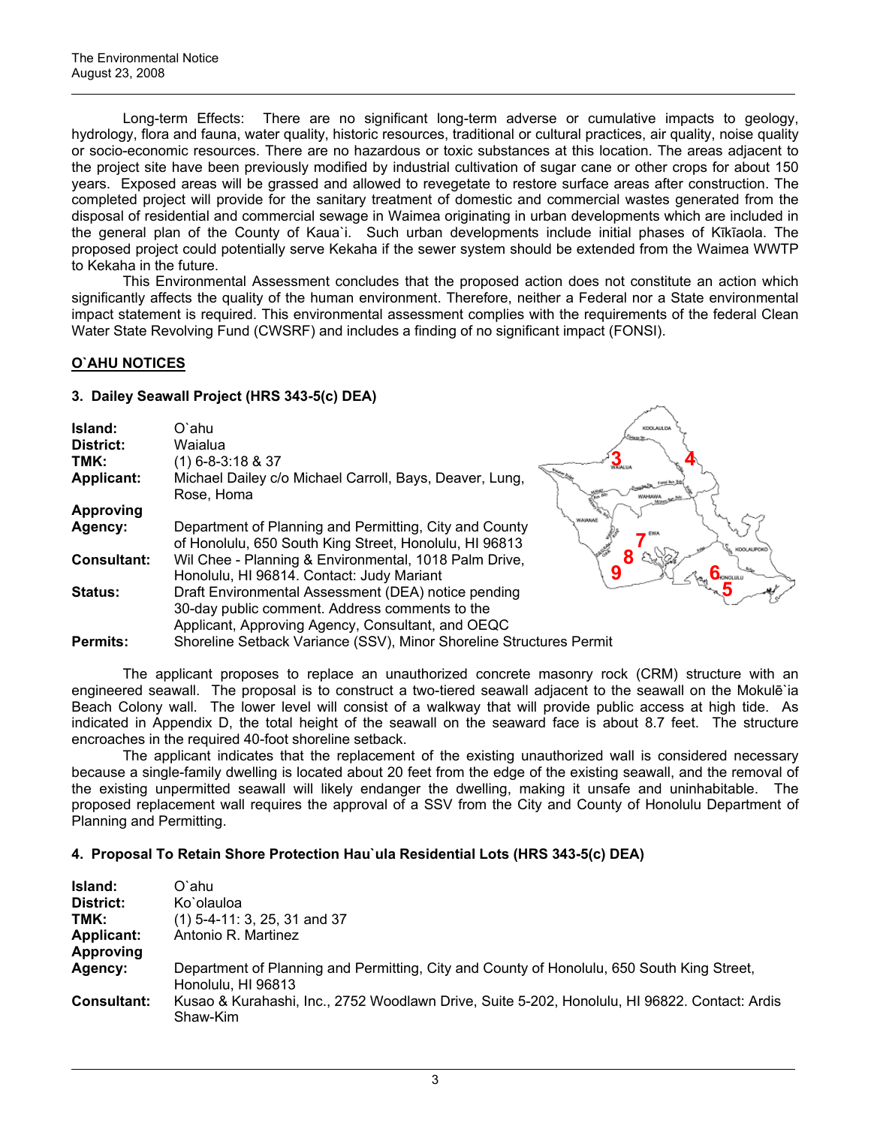Long-term Effects: There are no significant long-term adverse or cumulative impacts to geology, hydrology, flora and fauna, water quality, historic resources, traditional or cultural practices, air quality, noise quality or socio-economic resources. There are no hazardous or toxic substances at this location. The areas adjacent to the project site have been previously modified by industrial cultivation of sugar cane or other crops for about 150 years. Exposed areas will be grassed and allowed to revegetate to restore surface areas after construction. The completed project will provide for the sanitary treatment of domestic and commercial wastes generated from the disposal of residential and commercial sewage in Waimea originating in urban developments which are included in the general plan of the County of Kaua`i. Such urban developments include initial phases of Kīkīaola. The proposed project could potentially serve Kekaha if the sewer system should be extended from the Waimea WWTP to Kekaha in the future.

 This Environmental Assessment concludes that the proposed action does not constitute an action which significantly affects the quality of the human environment. Therefore, neither a Federal nor a State environmental impact statement is required. This environmental assessment complies with the requirements of the federal Clean Water State Revolving Fund (CWSRF) and includes a finding of no significant impact (FONSI).

# **O`AHU NOTICES**

# **3. Dailey Seawall Project (HRS 343-5(c) DEA)**

| Island:           | O`ahu                                                                                                                    | KOOLAULO/ |
|-------------------|--------------------------------------------------------------------------------------------------------------------------|-----------|
| District:         | Waialua                                                                                                                  |           |
| TMK:              | $(1)$ 6-8-3:18 & 37                                                                                                      |           |
| <b>Applicant:</b> | Michael Dailey c/o Michael Carroll, Bays, Deaver, Lung,<br>Rose, Homa                                                    |           |
| <b>Approving</b>  |                                                                                                                          |           |
| Agency:           | Department of Planning and Permitting, City and County<br>of Honolulu, 650 South King Street, Honolulu, HI 96813         | WAIANAE   |
| Consultant:       | Wil Chee - Planning & Environmental, 1018 Palm Drive,<br>Honolulu, HI 96814. Contact: Judy Mariant                       | R         |
| Status:           | Draft Environmental Assessment (DEA) notice pending<br>30-day public comment. Address comments to the                    |           |
| <b>Permits:</b>   | Applicant, Approving Agency, Consultant, and OEQC<br>Shoreline Setback Variance (SSV), Minor Shoreline Structures Permit |           |
|                   |                                                                                                                          |           |

The applicant proposes to replace an unauthorized concrete masonry rock (CRM) structure with an engineered seawall. The proposal is to construct a two-tiered seawall adjacent to the seawall on the Mokulē`ia Beach Colony wall. The lower level will consist of a walkway that will provide public access at high tide. As indicated in Appendix D, the total height of the seawall on the seaward face is about 8.7 feet. The structure encroaches in the required 40-foot shoreline setback.

**5**

 The applicant indicates that the replacement of the existing unauthorized wall is considered necessary because a single-family dwelling is located about 20 feet from the edge of the existing seawall, and the removal of the existing unpermitted seawall will likely endanger the dwelling, making it unsafe and uninhabitable. The proposed replacement wall requires the approval of a SSV from the City and County of Honolulu Department of Planning and Permitting.

# **4. Proposal To Retain Shore Protection Hau`ula Residential Lots (HRS 343-5(c) DEA)**

| Island:           | O`ahu                                                                                                            |
|-------------------|------------------------------------------------------------------------------------------------------------------|
| District:         | Ko`olauloa                                                                                                       |
| TMK:              | $(1)$ 5-4-11: 3, 25, 31 and 37                                                                                   |
| <b>Applicant:</b> | Antonio R. Martinez                                                                                              |
| Approving         |                                                                                                                  |
| Agency:           | Department of Planning and Permitting, City and County of Honolulu, 650 South King Street,<br>Honolulu, HI 96813 |
| Consultant:       | Kusao & Kurahashi, Inc., 2752 Woodlawn Drive, Suite 5-202, Honolulu, HI 96822. Contact: Ardis<br>Shaw-Kim        |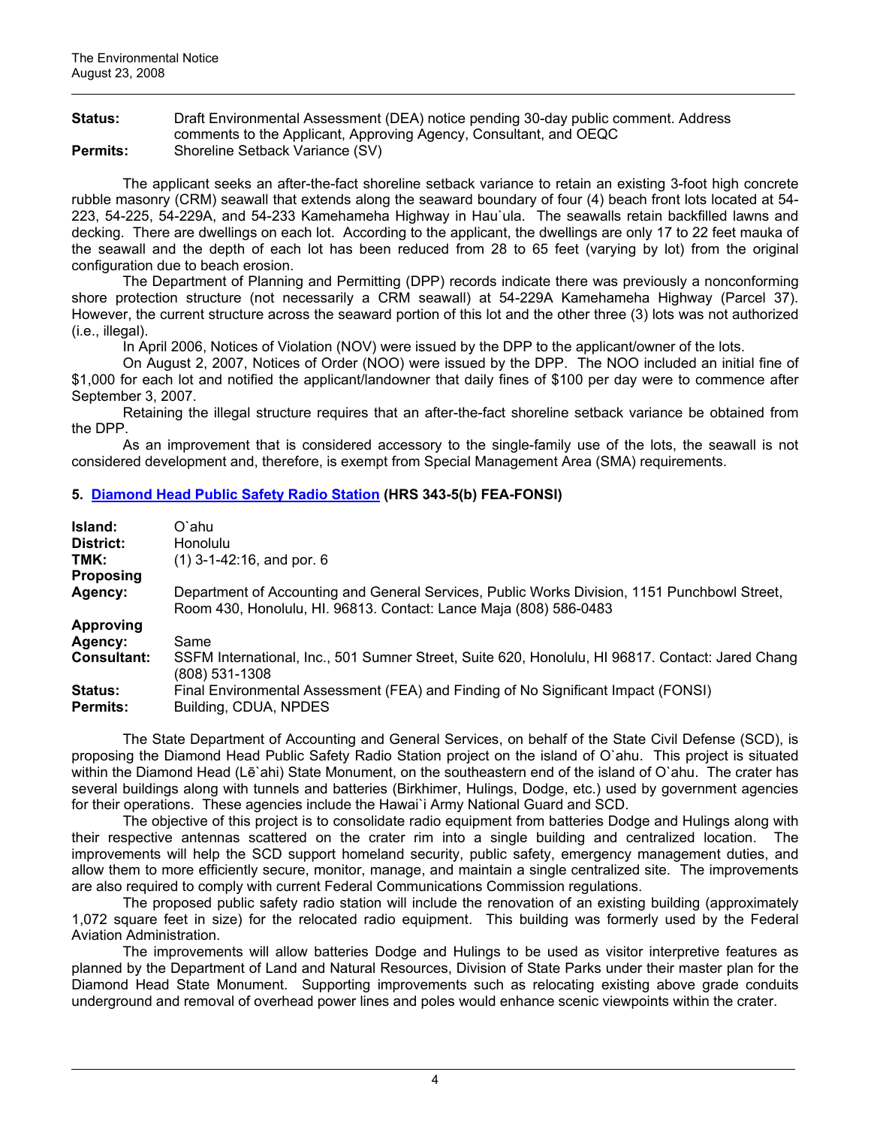**Status:** Draft Environmental Assessment (DEA) notice pending 30-day public comment. Address comments to the Applicant, Approving Agency, Consultant, and OEQC **Permits:** Shoreline Setback Variance (SV)

The applicant seeks an after-the-fact shoreline setback variance to retain an existing 3-foot high concrete rubble masonry (CRM) seawall that extends along the seaward boundary of four (4) beach front lots located at 54- 223, 54-225, 54-229A, and 54-233 Kamehameha Highway in Hau`ula. The seawalls retain backfilled lawns and decking. There are dwellings on each lot. According to the applicant, the dwellings are only 17 to 22 feet mauka of the seawall and the depth of each lot has been reduced from 28 to 65 feet (varying by lot) from the original configuration due to beach erosion.

The Department of Planning and Permitting (DPP) records indicate there was previously a nonconforming shore protection structure (not necessarily a CRM seawall) at 54-229A Kamehameha Highway (Parcel 37). However, the current structure across the seaward portion of this lot and the other three (3) lots was not authorized  $(i.e.,$  illegal).

In April 2006, Notices of Violation (NOV) were issued by the DPP to the applicant/owner of the lots.

On August 2, 2007, Notices of Order (NOO) were issued by the DPP. The NOO included an initial fine of \$1,000 for each lot and notified the applicant/landowner that daily fines of \$100 per day were to commence after September 3, 2007.

Retaining the illegal structure requires that an after-the-fact shoreline setback variance be obtained from the DPP.

As an improvement that is considered accessory to the single-family use of the lots, the seawall is not considered development and, therefore, is exempt from Special Management Area (SMA) requirements.

# **5. [Diamond Head Public Safety Radio Station](http://oeqc.doh.hawaii.gov/Shared%20Documents/EA_and_EIS_Online_Library/Oahu/2000s/2008-08-23-OA-FEA-Diamond-Head-Public-Safety-Radio-Station.pdf) (HRS 343-5(b) FEA-FONSI)**

| Island:<br>District:              | O`ahu<br><b>Honolulu</b>                                                                                                                                          |
|-----------------------------------|-------------------------------------------------------------------------------------------------------------------------------------------------------------------|
| TMK:                              | $(1)$ 3-1-42:16, and por. 6                                                                                                                                       |
| <b>Proposing</b>                  |                                                                                                                                                                   |
| Agency:                           | Department of Accounting and General Services, Public Works Division, 1151 Punchbowl Street,<br>Room 430, Honolulu, HI. 96813. Contact: Lance Maja (808) 586-0483 |
| <b>Approving</b>                  |                                                                                                                                                                   |
| Agency:                           | Same                                                                                                                                                              |
| <b>Consultant:</b>                | SSFM International, Inc., 501 Sumner Street, Suite 620, Honolulu, HI 96817. Contact: Jared Chang<br>(808) 531-1308                                                |
| <b>Status:</b><br><b>Permits:</b> | Final Environmental Assessment (FEA) and Finding of No Significant Impact (FONSI)<br>Building, CDUA, NPDES                                                        |

The State Department of Accounting and General Services, on behalf of the State Civil Defense (SCD), is proposing the Diamond Head Public Safety Radio Station project on the island of O`ahu. This project is situated within the Diamond Head (Lē`ahi) State Monument, on the southeastern end of the island of O`ahu. The crater has several buildings along with tunnels and batteries (Birkhimer, Hulings, Dodge, etc.) used by government agencies for their operations. These agencies include the Hawai`i Army National Guard and SCD.

 The objective of this project is to consolidate radio equipment from batteries Dodge and Hulings along with their respective antennas scattered on the crater rim into a single building and centralized location. The improvements will help the SCD support homeland security, public safety, emergency management duties, and allow them to more efficiently secure, monitor, manage, and maintain a single centralized site. The improvements are also required to comply with current Federal Communications Commission regulations.

 The proposed public safety radio station will include the renovation of an existing building (approximately 1,072 square feet in size) for the relocated radio equipment. This building was formerly used by the Federal Aviation Administration.

 The improvements will allow batteries Dodge and Hulings to be used as visitor interpretive features as planned by the Department of Land and Natural Resources, Division of State Parks under their master plan for the Diamond Head State Monument. Supporting improvements such as relocating existing above grade conduits underground and removal of overhead power lines and poles would enhance scenic viewpoints within the crater.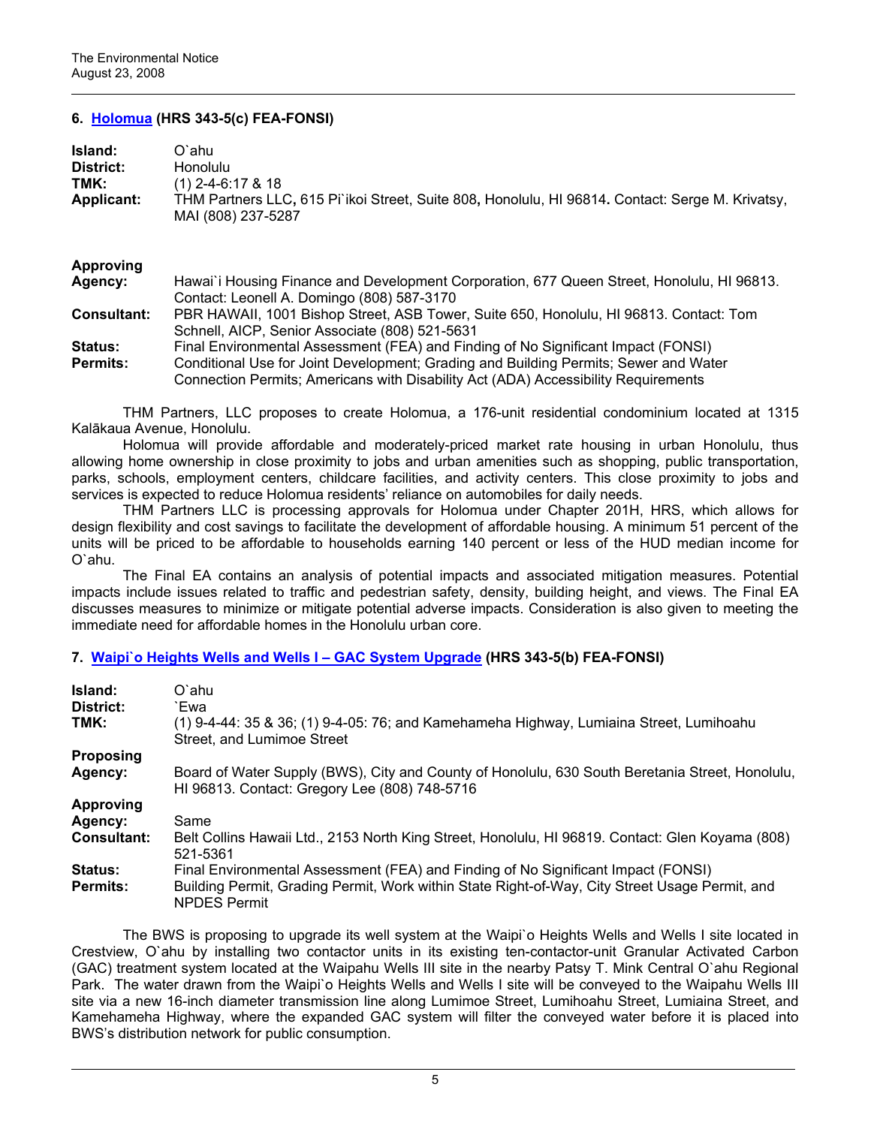## **6. [Holomua](http://oeqc.doh.hawaii.gov/Shared%20Documents/EA_and_EIS_Online_Library/Oahu/2000s/2008-08-23-OA-FEA-Holomua.pdf) (HRS 343-5(c) FEA-FONSI)**

| Island:           | O`ahu                                                                                                                  |
|-------------------|------------------------------------------------------------------------------------------------------------------------|
| District:         | <b>Honolulu</b>                                                                                                        |
| TMK:              | $(1)$ 2-4-6:17 & 18                                                                                                    |
| <b>Applicant:</b> | THM Partners LLC, 615 Pi`ikoi Street, Suite 808, Honolulu, HI 96814. Contact: Serge M. Krivatsy,<br>MAI (808) 237-5287 |

#### **Approving**

| Agency:            | Hawai'i Housing Finance and Development Corporation, 677 Queen Street, Honolulu, HI 96813. |
|--------------------|--------------------------------------------------------------------------------------------|
|                    | Contact: Leonell A. Domingo (808) 587-3170                                                 |
| <b>Consultant:</b> | PBR HAWAII, 1001 Bishop Street, ASB Tower, Suite 650, Honolulu, HI 96813. Contact: Tom     |
|                    | Schnell, AICP, Senior Associate (808) 521-5631                                             |
| <b>Status:</b>     | Final Environmental Assessment (FEA) and Finding of No Significant Impact (FONSI)          |
| <b>Permits:</b>    | Conditional Use for Joint Development; Grading and Building Permits; Sewer and Water       |
|                    | Connection Permits; Americans with Disability Act (ADA) Accessibility Requirements         |

THM Partners, LLC proposes to create Holomua, a 176-unit residential condominium located at 1315 Kalākaua Avenue, Honolulu.

Holomua will provide affordable and moderately-priced market rate housing in urban Honolulu, thus allowing home ownership in close proximity to jobs and urban amenities such as shopping, public transportation, parks, schools, employment centers, childcare facilities, and activity centers. This close proximity to jobs and services is expected to reduce Holomua residents' reliance on automobiles for daily needs.

THM Partners LLC is processing approvals for Holomua under Chapter 201H, HRS, which allows for design flexibility and cost savings to facilitate the development of affordable housing. A minimum 51 percent of the units will be priced to be affordable to households earning 140 percent or less of the HUD median income for O`ahu.

The Final EA contains an analysis of potential impacts and associated mitigation measures. Potential impacts include issues related to traffic and pedestrian safety, density, building height, and views. The Final EA discusses measures to minimize or mitigate potential adverse impacts. Consideration is also given to meeting the immediate need for affordable homes in the Honolulu urban core.

## **7. [Waipi`o Heights Wells and Wells I – GAC System Upgrade](http://oeqc.doh.hawaii.gov/Shared%20Documents/EA_and_EIS_Online_Library/Oahu/2000s/2008-08-23-OA-FEA-Waipio-Heights-Wells-and-Wells-I.pdf) (HRS 343-5(b) FEA-FONSI)**

| Island:<br>District: | O`ahu<br>`Ewa                                                                                                                                    |
|----------------------|--------------------------------------------------------------------------------------------------------------------------------------------------|
| TMK:                 | $(1)$ 9-4-44: 35 & 36; $(1)$ 9-4-05: 76; and Kamehameha Highway, Lumiaina Street, Lumihoahu<br>Street, and Lumimoe Street                        |
| <b>Proposing</b>     |                                                                                                                                                  |
| Agency:              | Board of Water Supply (BWS), City and County of Honolulu, 630 South Beretania Street, Honolulu,<br>HI 96813. Contact: Gregory Lee (808) 748-5716 |
| <b>Approving</b>     |                                                                                                                                                  |
| Agency:              | Same                                                                                                                                             |
| <b>Consultant:</b>   | Belt Collins Hawaii Ltd., 2153 North King Street, Honolulu, HI 96819. Contact: Glen Koyama (808)<br>521-5361                                     |
| <b>Status:</b>       | Final Environmental Assessment (FEA) and Finding of No Significant Impact (FONSI)                                                                |
| <b>Permits:</b>      | Building Permit, Grading Permit, Work within State Right-of-Way, City Street Usage Permit, and<br><b>NPDES Permit</b>                            |

The BWS is proposing to upgrade its well system at the Waipi`o Heights Wells and Wells I site located in Crestview, O`ahu by installing two contactor units in its existing ten-contactor-unit Granular Activated Carbon (GAC) treatment system located at the Waipahu Wells III site in the nearby Patsy T. Mink Central O`ahu Regional Park. The water drawn from the Waipi`o Heights Wells and Wells I site will be conveyed to the Waipahu Wells III site via a new 16-inch diameter transmission line along Lumimoe Street, Lumihoahu Street, Lumiaina Street, and Kamehameha Highway, where the expanded GAC system will filter the conveyed water before it is placed into BWS's distribution network for public consumption.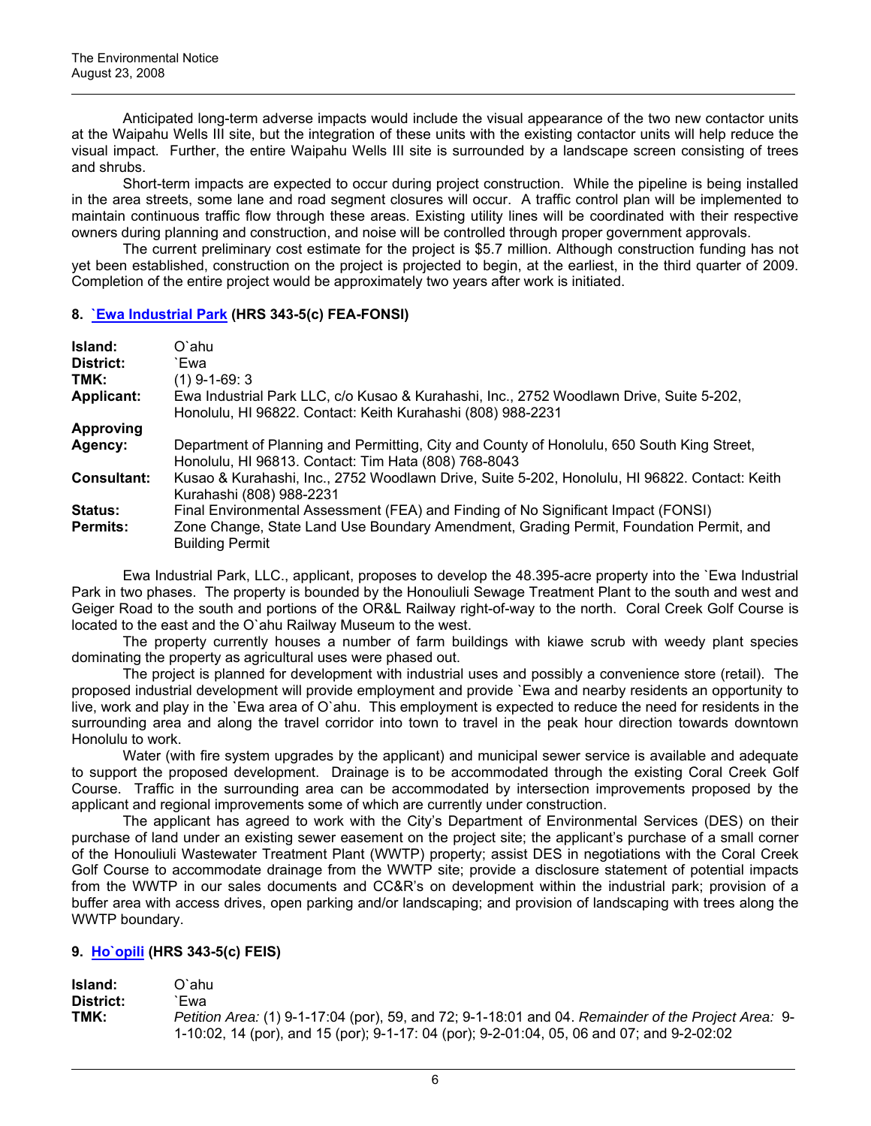Anticipated long-term adverse impacts would include the visual appearance of the two new contactor units at the Waipahu Wells III site, but the integration of these units with the existing contactor units will help reduce the visual impact. Further, the entire Waipahu Wells III site is surrounded by a landscape screen consisting of trees and shrubs.

Short-term impacts are expected to occur during project construction. While the pipeline is being installed in the area streets, some lane and road segment closures will occur. A traffic control plan will be implemented to maintain continuous traffic flow through these areas. Existing utility lines will be coordinated with their respective owners during planning and construction, and noise will be controlled through proper government approvals.

The current preliminary cost estimate for the project is \$5.7 million. Although construction funding has not yet been established, construction on the project is projected to begin, at the earliest, in the third quarter of 2009. Completion of the entire project would be approximately two years after work is initiated.

#### **8. [`Ewa Industrial Park](http://oeqc.doh.hawaii.gov/Shared%20Documents/EA_and_EIS_Online_Library/Oahu/2000s/2008-08-23-OA-FEA-Ewa-Industrial-Park.pdf) (HRS 343-5(c) FEA-FONSI)**

| Island:            | O`ahu                                                                                                                                                  |
|--------------------|--------------------------------------------------------------------------------------------------------------------------------------------------------|
| District:          | `Ewa                                                                                                                                                   |
| TMK:               | $(1)$ 9-1-69: 3                                                                                                                                        |
| <b>Applicant:</b>  | Ewa Industrial Park LLC, c/o Kusao & Kurahashi, Inc., 2752 Woodlawn Drive, Suite 5-202,<br>Honolulu, HI 96822. Contact: Keith Kurahashi (808) 988-2231 |
| <b>Approving</b>   |                                                                                                                                                        |
| Agency:            | Department of Planning and Permitting, City and County of Honolulu, 650 South King Street,<br>Honolulu, HI 96813. Contact: Tim Hata (808) 768-8043     |
| <b>Consultant:</b> | Kusao & Kurahashi, Inc., 2752 Woodlawn Drive, Suite 5-202, Honolulu, HI 96822. Contact: Keith<br>Kurahashi (808) 988-2231                              |
| <b>Status:</b>     | Final Environmental Assessment (FEA) and Finding of No Significant Impact (FONSI)                                                                      |
| <b>Permits:</b>    | Zone Change, State Land Use Boundary Amendment, Grading Permit, Foundation Permit, and<br><b>Building Permit</b>                                       |

 Ewa Industrial Park, LLC., applicant, proposes to develop the 48.395-acre property into the `Ewa Industrial Park in two phases. The property is bounded by the Honouliuli Sewage Treatment Plant to the south and west and Geiger Road to the south and portions of the OR&L Railway right-of-way to the north. Coral Creek Golf Course is located to the east and the O`ahu Railway Museum to the west.

 The property currently houses a number of farm buildings with kiawe scrub with weedy plant species dominating the property as agricultural uses were phased out.

 The project is planned for development with industrial uses and possibly a convenience store (retail). The proposed industrial development will provide employment and provide `Ewa and nearby residents an opportunity to live, work and play in the `Ewa area of O`ahu. This employment is expected to reduce the need for residents in the surrounding area and along the travel corridor into town to travel in the peak hour direction towards downtown Honolulu to work.

 Water (with fire system upgrades by the applicant) and municipal sewer service is available and adequate to support the proposed development. Drainage is to be accommodated through the existing Coral Creek Golf Course. Traffic in the surrounding area can be accommodated by intersection improvements proposed by the applicant and regional improvements some of which are currently under construction.

 The applicant has agreed to work with the City's Department of Environmental Services (DES) on their purchase of land under an existing sewer easement on the project site; the applicant's purchase of a small corner of the Honouliuli Wastewater Treatment Plant (WWTP) property; assist DES in negotiations with the Coral Creek Golf Course to accommodate drainage from the WWTP site; provide a disclosure statement of potential impacts from the WWTP in our sales documents and CC&R's on development within the industrial park; provision of a buffer area with access drives, open parking and/or landscaping; and provision of landscaping with trees along the WWTP boundary.

# **9. [Ho`opili](http://oeqc.doh.hawaii.gov/Shared%20Documents/EA_and_EIS_Online_Library/Oahu/2000s/2008-08-23-OA-FEIS-Hoopili-Vol-1.pdf) (HRS 343-5(c) FEIS)**

| Island:   | O`ahu.                                                                                              |
|-----------|-----------------------------------------------------------------------------------------------------|
| District: | Ewa                                                                                                 |
| TMK:      | Petition Area: (1) 9-1-17:04 (por), 59, and 72; 9-1-18:01 and 04. Remainder of the Project Area: 9- |
|           | 1-10:02, 14 (por), and 15 (por); 9-1-17: 04 (por); 9-2-01:04, 05, 06 and 07; and 9-2-02:02          |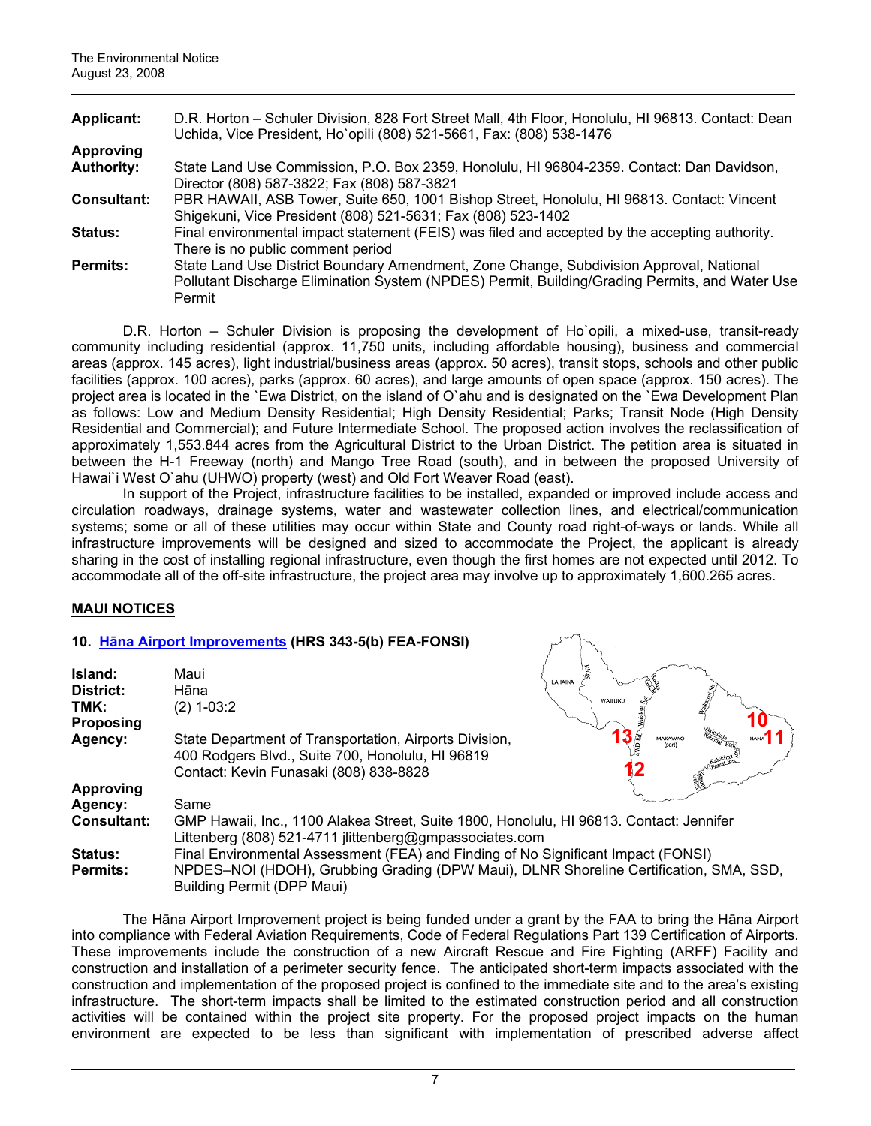| <b>Applicant:</b>  | D.R. Horton - Schuler Division, 828 Fort Street Mall, 4th Floor, Honolulu, HI 96813. Contact: Dean |  |  |
|--------------------|----------------------------------------------------------------------------------------------------|--|--|
|                    | Uchida, Vice President, Ho`opili (808) 521-5661, Fax: (808) 538-1476                               |  |  |
| <b>Approving</b>   |                                                                                                    |  |  |
| <b>Authority:</b>  | State Land Use Commission, P.O. Box 2359, Honolulu, HI 96804-2359. Contact: Dan Davidson,          |  |  |
|                    | Director (808) 587-3822; Fax (808) 587-3821                                                        |  |  |
| <b>Consultant:</b> | PBR HAWAII, ASB Tower, Suite 650, 1001 Bishop Street, Honolulu, HI 96813. Contact: Vincent         |  |  |
|                    | Shigekuni, Vice President (808) 521-5631; Fax (808) 523-1402                                       |  |  |
| <b>Status:</b>     | Final environmental impact statement (FEIS) was filed and accepted by the accepting authority.     |  |  |
|                    | There is no public comment period                                                                  |  |  |
| <b>Permits:</b>    | State Land Use District Boundary Amendment, Zone Change, Subdivision Approval, National            |  |  |
|                    | Pollutant Discharge Elimination System (NPDES) Permit, Building/Grading Permits, and Water Use     |  |  |
|                    | Permit                                                                                             |  |  |

D.R. Horton – Schuler Division is proposing the development of Ho`opili, a mixed-use, transit-ready community including residential (approx. 11,750 units, including affordable housing), business and commercial areas (approx. 145 acres), light industrial/business areas (approx. 50 acres), transit stops, schools and other public facilities (approx. 100 acres), parks (approx. 60 acres), and large amounts of open space (approx. 150 acres). The project area is located in the `Ewa District, on the island of O`ahu and is designated on the `Ewa Development Plan as follows: Low and Medium Density Residential; High Density Residential; Parks; Transit Node (High Density Residential and Commercial); and Future Intermediate School. The proposed action involves the reclassification of approximately 1,553.844 acres from the Agricultural District to the Urban District. The petition area is situated in between the H-1 Freeway (north) and Mango Tree Road (south), and in between the proposed University of Hawai'i West O'ahu (UHWO) property (west) and Old Fort Weaver Road (east).

In support of the Project, infrastructure facilities to be installed, expanded or improved include access and circulation roadways, drainage systems, water and wastewater collection lines, and electrical/communication systems; some or all of these utilities may occur within State and County road right-of-ways or lands. While all infrastructure improvements will be designed and sized to accommodate the Project, the applicant is already sharing in the cost of installing regional infrastructure, even though the first homes are not expected until 2012. To accommodate all of the off-site infrastructure, the project area may involve up to approximately 1,600.265 acres.

# **MAUI NOTICES**

# **10. Hā[na Airport Improvements](http://oeqc.doh.hawaii.gov/Shared%20Documents/EA_and_EIS_Online_Library/Maui/2000s/2008-08-23-MA-FEA-Hana-Airport-Improvements.pdf) (HRS 343-5(b) FEA-FONSI)**

| Island:<br>District:<br>TMK:<br><b>Proposing</b> | Maui<br>Hāna<br>$(2)$ 1-03:2                                                                                                                                                                                     | LAHAINA<br>WAILUKU |  |
|--------------------------------------------------|------------------------------------------------------------------------------------------------------------------------------------------------------------------------------------------------------------------|--------------------|--|
| Agency:                                          | State Department of Transportation, Airports Division,<br>400 Rodgers Blvd., Suite 700, Honolulu, HI 96819<br>Contact: Kevin Funasaki (808) 838-8828                                                             | MAKAWAC            |  |
| <b>Approving</b>                                 |                                                                                                                                                                                                                  |                    |  |
| Agency:                                          | Same                                                                                                                                                                                                             |                    |  |
| <b>Consultant:</b>                               | GMP Hawaii, Inc., 1100 Alakea Street, Suite 1800, Honolulu, HI 96813. Contact: Jennifer<br>Littenberg (808) 521-4711 jlittenberg@gmpassociates.com                                                               |                    |  |
| Status:<br><b>Permits:</b>                       | Final Environmental Assessment (FEA) and Finding of No Significant Impact (FONSI)<br>NPDES-NOI (HDOH), Grubbing Grading (DPW Maui), DLNR Shoreline Certification, SMA, SSD,<br><b>Building Permit (DPP Maui)</b> |                    |  |

The Hāna Airport Improvement project is being funded under a grant by the FAA to bring the Hāna Airport into compliance with Federal Aviation Requirements, Code of Federal Regulations Part 139 Certification of Airports. These improvements include the construction of a new Aircraft Rescue and Fire Fighting (ARFF) Facility and construction and installation of a perimeter security fence. The anticipated short-term impacts associated with the construction and implementation of the proposed project is confined to the immediate site and to the area's existing infrastructure. The short-term impacts shall be limited to the estimated construction period and all construction activities will be contained within the project site property. For the proposed project impacts on the human environment are expected to be less than significant with implementation of prescribed adverse affect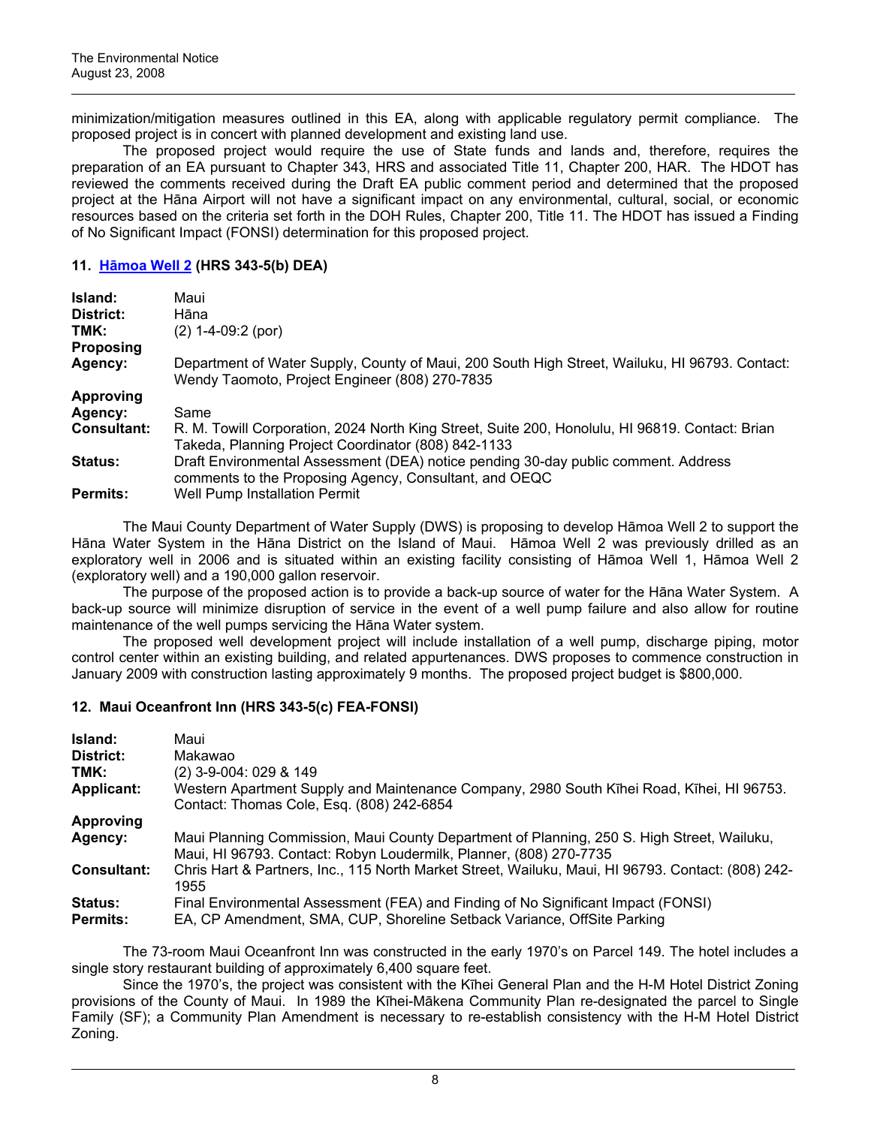minimization/mitigation measures outlined in this EA, along with applicable regulatory permit compliance. The proposed project is in concert with planned development and existing land use.

The proposed project would require the use of State funds and lands and, therefore, requires the preparation of an EA pursuant to Chapter 343, HRS and associated Title 11, Chapter 200, HAR. The HDOT has reviewed the comments received during the Draft EA public comment period and determined that the proposed project at the Hāna Airport will not have a significant impact on any environmental, cultural, social, or economic resources based on the criteria set forth in the DOH Rules, Chapter 200, Title 11. The HDOT has issued a Finding of No Significant Impact (FONSI) determination for this proposed project.

## **11. Hā[moa Well 2](http://oeqc.doh.hawaii.gov/Shared%20Documents/EA_and_EIS_Online_Library/Maui/2000s/2008-08-23-MA-DEA-HAMOA-WELL-2.pdf) (HRS 343-5(b) DEA)**

| Island:            | Maui                                                                                                                                                   |
|--------------------|--------------------------------------------------------------------------------------------------------------------------------------------------------|
| District:          | Hāna                                                                                                                                                   |
| TMK:               | $(2)$ 1-4-09:2 (por)                                                                                                                                   |
| <b>Proposing</b>   |                                                                                                                                                        |
| Agency:            | Department of Water Supply, County of Maui, 200 South High Street, Wailuku, HI 96793. Contact:<br>Wendy Taomoto, Project Engineer (808) 270-7835       |
| <b>Approving</b>   |                                                                                                                                                        |
| Agency:            | Same                                                                                                                                                   |
| <b>Consultant:</b> | R. M. Towill Corporation, 2024 North King Street, Suite 200, Honolulu, HI 96819. Contact: Brian<br>Takeda, Planning Project Coordinator (808) 842-1133 |
| <b>Status:</b>     | Draft Environmental Assessment (DEA) notice pending 30-day public comment. Address<br>comments to the Proposing Agency, Consultant, and OEQC           |
| <b>Permits:</b>    | Well Pump Installation Permit                                                                                                                          |

The Maui County Department of Water Supply (DWS) is proposing to develop Hāmoa Well 2 to support the Hāna Water System in the Hāna District on the Island of Maui. Hāmoa Well 2 was previously drilled as an exploratory well in 2006 and is situated within an existing facility consisting of Hāmoa Well 1, Hāmoa Well 2 (exploratory well) and a 190,000 gallon reservoir.

 The purpose of the proposed action is to provide a back-up source of water for the Hāna Water System. A back-up source will minimize disruption of service in the event of a well pump failure and also allow for routine maintenance of the well pumps servicing the Hāna Water system.

The proposed well development project will include installation of a well pump, discharge piping, motor control center within an existing building, and related appurtenances. DWS proposes to commence construction in January 2009 with construction lasting approximately 9 months. The proposed project budget is \$800,000.

#### **12. Maui Oceanfront Inn (HRS 343-5(c) FEA-FONSI)**

| Island:                           | Maui                                                                                                                                                             |
|-----------------------------------|------------------------------------------------------------------------------------------------------------------------------------------------------------------|
| District:                         | Makawao                                                                                                                                                          |
| TMK:                              | (2) 3-9-004: 029 & 149                                                                                                                                           |
| <b>Applicant:</b>                 | Western Apartment Supply and Maintenance Company, 2980 South Kihei Road, Kihei, HI 96753.<br>Contact: Thomas Cole, Esq. (808) 242-6854                           |
| <b>Approving</b>                  |                                                                                                                                                                  |
| Agency:                           | Maui Planning Commission, Maui County Department of Planning, 250 S. High Street, Wailuku,<br>Maui, HI 96793. Contact: Robyn Loudermilk, Planner, (808) 270-7735 |
| <b>Consultant:</b>                | Chris Hart & Partners, Inc., 115 North Market Street, Wailuku, Maui, HI 96793. Contact: (808) 242-<br>1955                                                       |
| <b>Status:</b><br><b>Permits:</b> | Final Environmental Assessment (FEA) and Finding of No Significant Impact (FONSI)<br>EA, CP Amendment, SMA, CUP, Shoreline Setback Variance, OffSite Parking     |

The 73-room Maui Oceanfront Inn was constructed in the early 1970's on Parcel 149. The hotel includes a single story restaurant building of approximately 6,400 square feet.

Since the 1970's, the project was consistent with the Kīhei General Plan and the H-M Hotel District Zoning provisions of the County of Maui. In 1989 the Kīhei-Mākena Community Plan re-designated the parcel to Single Family (SF); a Community Plan Amendment is necessary to re-establish consistency with the H-M Hotel District Zoning.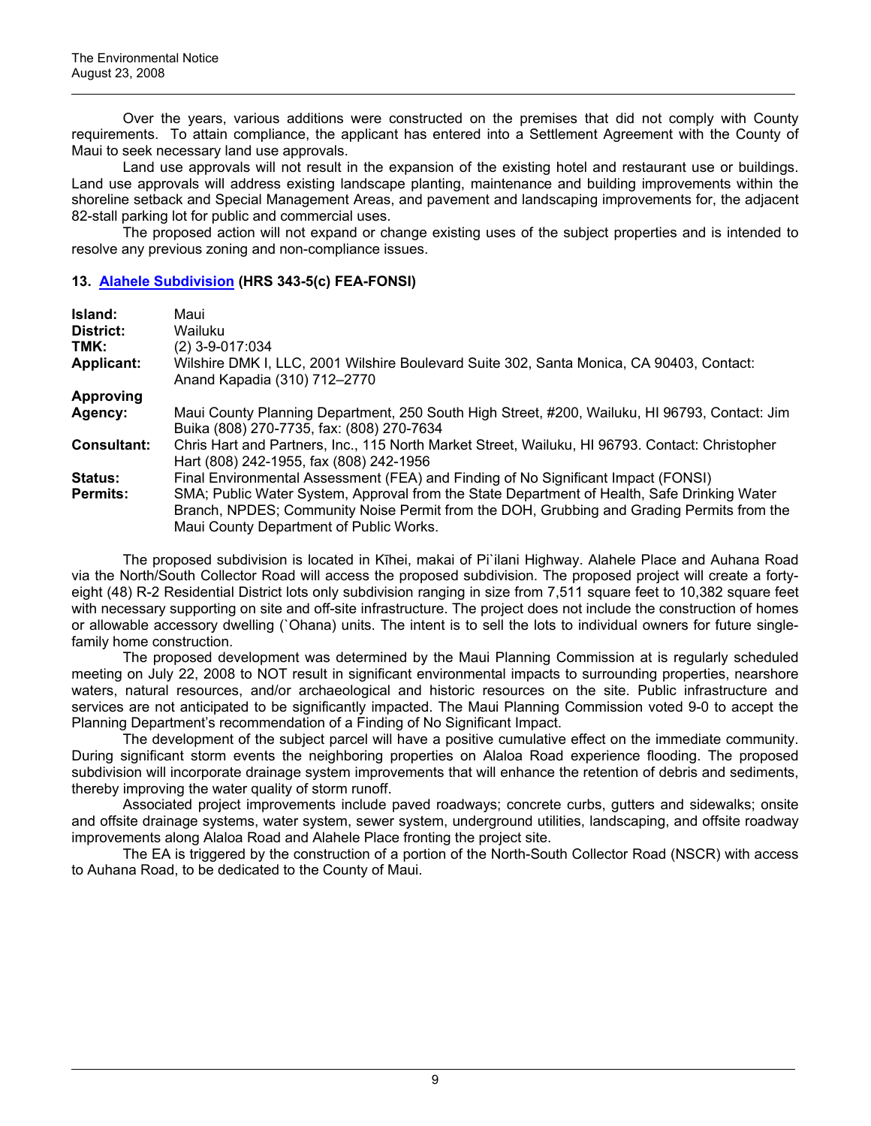Over the years, various additions were constructed on the premises that did not comply with County requirements. To attain compliance, the applicant has entered into a Settlement Agreement with the County of Maui to seek necessary land use approvals.

Land use approvals will not result in the expansion of the existing hotel and restaurant use or buildings. Land use approvals will address existing landscape planting, maintenance and building improvements within the shoreline setback and Special Management Areas, and pavement and landscaping improvements for, the adjacent 82-stall parking lot for public and commercial uses.

The proposed action will not expand or change existing uses of the subject properties and is intended to resolve any previous zoning and non-compliance issues.

#### **13. [Alahele Subdivision](http://oeqc.doh.hawaii.gov/Shared%20Documents/EA_and_EIS_Online_Library/Maui/2000s/2008-08-23-MA-FEA-Alahele-Subdivision.pdf) (HRS 343-5(c) FEA-FONSI)**

| Island:            | Maui                                                                                                                                                                                                                                |
|--------------------|-------------------------------------------------------------------------------------------------------------------------------------------------------------------------------------------------------------------------------------|
| District:          | Wailuku                                                                                                                                                                                                                             |
| TMK:               | (2) 3-9-017:034                                                                                                                                                                                                                     |
| <b>Applicant:</b>  | Wilshire DMK I, LLC, 2001 Wilshire Boulevard Suite 302, Santa Monica, CA 90403, Contact:<br>Anand Kapadia (310) 712-2770                                                                                                            |
| <b>Approving</b>   |                                                                                                                                                                                                                                     |
| Agency:            | Maui County Planning Department, 250 South High Street, #200, Wailuku, HI 96793, Contact: Jim<br>Buika (808) 270-7735, fax: (808) 270-7634                                                                                          |
| <b>Consultant:</b> | Chris Hart and Partners, Inc., 115 North Market Street, Wailuku, HI 96793. Contact: Christopher<br>Hart (808) 242-1955, fax (808) 242-1956                                                                                          |
| <b>Status:</b>     | Final Environmental Assessment (FEA) and Finding of No Significant Impact (FONSI)                                                                                                                                                   |
| <b>Permits:</b>    | SMA; Public Water System, Approval from the State Department of Health, Safe Drinking Water<br>Branch, NPDES; Community Noise Permit from the DOH, Grubbing and Grading Permits from the<br>Maui County Department of Public Works. |

The proposed subdivision is located in Kīhei, makai of Pi`ilani Highway. Alahele Place and Auhana Road via the North/South Collector Road will access the proposed subdivision. The proposed project will create a fortyeight (48) R-2 Residential District lots only subdivision ranging in size from 7,511 square feet to 10,382 square feet with necessary supporting on site and off-site infrastructure. The project does not include the construction of homes or allowable accessory dwelling (`Ohana) units. The intent is to sell the lots to individual owners for future singlefamily home construction.

The proposed development was determined by the Maui Planning Commission at is regularly scheduled meeting on July 22, 2008 to NOT result in significant environmental impacts to surrounding properties, nearshore waters, natural resources, and/or archaeological and historic resources on the site. Public infrastructure and services are not anticipated to be significantly impacted. The Maui Planning Commission voted 9-0 to accept the Planning Department's recommendation of a Finding of No Significant Impact.

The development of the subject parcel will have a positive cumulative effect on the immediate community. During significant storm events the neighboring properties on Alaloa Road experience flooding. The proposed subdivision will incorporate drainage system improvements that will enhance the retention of debris and sediments, thereby improving the water quality of storm runoff.

Associated project improvements include paved roadways; concrete curbs, gutters and sidewalks; onsite and offsite drainage systems, water system, sewer system, underground utilities, landscaping, and offsite roadway improvements along Alaloa Road and Alahele Place fronting the project site.

The EA is triggered by the construction of a portion of the North-South Collector Road (NSCR) with access to Auhana Road, to be dedicated to the County of Maui.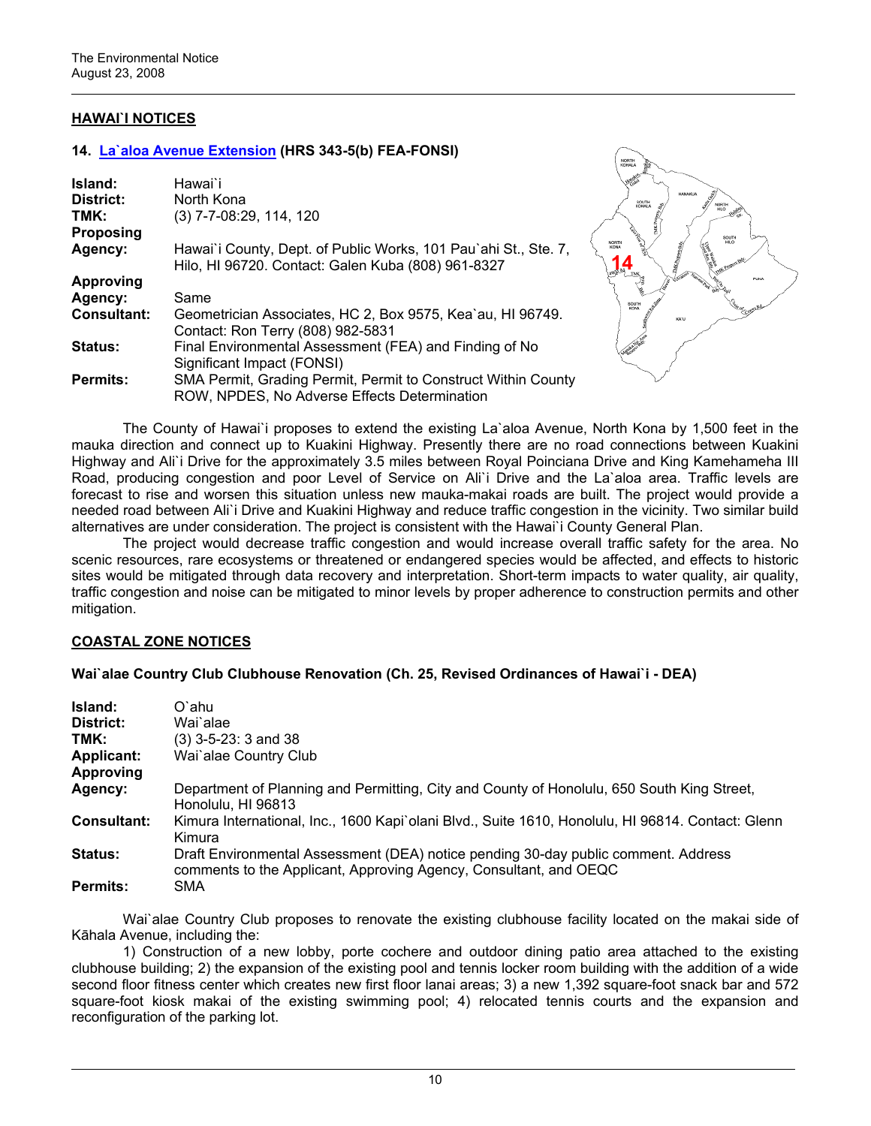# **HAWAI`I NOTICES**

#### **14. [La`aloa Avenue Extension](http://oeqc.doh.hawaii.gov/Shared%20Documents/EA_and_EIS_Online_Library/Hawaii/2000s/2008-08-23-HA-FEA-Laaloa-Ave-Extension.pdf) (HRS 343-5(b) FEA-FONSI)**

| Island:            | Hawai`i                                                                                                               |
|--------------------|-----------------------------------------------------------------------------------------------------------------------|
| District:          | North Kona                                                                                                            |
| TMK:               | (3) 7-7-08:29, 114, 120                                                                                               |
| <b>Proposing</b>   |                                                                                                                       |
| Agency:            | Hawai'i County, Dept. of Public Works, 101 Pau'ahi St., Ste. 7,<br>Hilo, HI 96720. Contact: Galen Kuba (808) 961-8327 |
| Approving          |                                                                                                                       |
| Agency:            | Same                                                                                                                  |
| <b>Consultant:</b> | Geometrician Associates, HC 2, Box 9575, Kea'au, HI 96749.<br>Contact: Ron Terry (808) 982-5831                       |
| <b>Status:</b>     | Final Environmental Assessment (FEA) and Finding of No<br>Significant Impact (FONSI)                                  |
| <b>Permits:</b>    | SMA Permit, Grading Permit, Permit to Construct Within County<br>ROW, NPDES, No Adverse Effects Determination         |



The County of Hawai`i proposes to extend the existing La`aloa Avenue, North Kona by 1,500 feet in the mauka direction and connect up to Kuakini Highway. Presently there are no road connections between Kuakini Highway and Ali`i Drive for the approximately 3.5 miles between Royal Poinciana Drive and King Kamehameha III Road, producing congestion and poor Level of Service on Ali`i Drive and the La`aloa area. Traffic levels are forecast to rise and worsen this situation unless new mauka-makai roads are built. The project would provide a needed road between Ali`i Drive and Kuakini Highway and reduce traffic congestion in the vicinity. Two similar build alternatives are under consideration. The project is consistent with the Hawai`i County General Plan.

The project would decrease traffic congestion and would increase overall traffic safety for the area. No scenic resources, rare ecosystems or threatened or endangered species would be affected, and effects to historic sites would be mitigated through data recovery and interpretation. Short-term impacts to water quality, air quality, traffic congestion and noise can be mitigated to minor levels by proper adherence to construction permits and other mitigation.

#### **COASTAL ZONE NOTICES**

#### **Wai`alae Country Club Clubhouse Renovation (Ch. 25, Revised Ordinances of Hawai`i - DEA)**

| Island:            | O`ahu                                                                                                                                                   |
|--------------------|---------------------------------------------------------------------------------------------------------------------------------------------------------|
| District:          | Wai`alae                                                                                                                                                |
| TMK:               | $(3)$ 3-5-23: 3 and 38                                                                                                                                  |
| <b>Applicant:</b>  | Wai`alae Country Club                                                                                                                                   |
| <b>Approving</b>   |                                                                                                                                                         |
| Agency:            | Department of Planning and Permitting, City and County of Honolulu, 650 South King Street,<br>Honolulu, HI 96813                                        |
| <b>Consultant:</b> | Kimura International, Inc., 1600 Kapi`olani Blvd., Suite 1610, Honolulu, HI 96814. Contact: Glenn<br>Kimura                                             |
| <b>Status:</b>     | Draft Environmental Assessment (DEA) notice pending 30-day public comment. Address<br>comments to the Applicant, Approving Agency, Consultant, and OEQC |
| <b>Permits:</b>    | SMA                                                                                                                                                     |

Wai`alae Country Club proposes to renovate the existing clubhouse facility located on the makai side of Kāhala Avenue, including the:

 1) Construction of a new lobby, porte cochere and outdoor dining patio area attached to the existing clubhouse building; 2) the expansion of the existing pool and tennis locker room building with the addition of a wide second floor fitness center which creates new first floor lanai areas; 3) a new 1,392 square-foot snack bar and 572 square-foot kiosk makai of the existing swimming pool; 4) relocated tennis courts and the expansion and reconfiguration of the parking lot.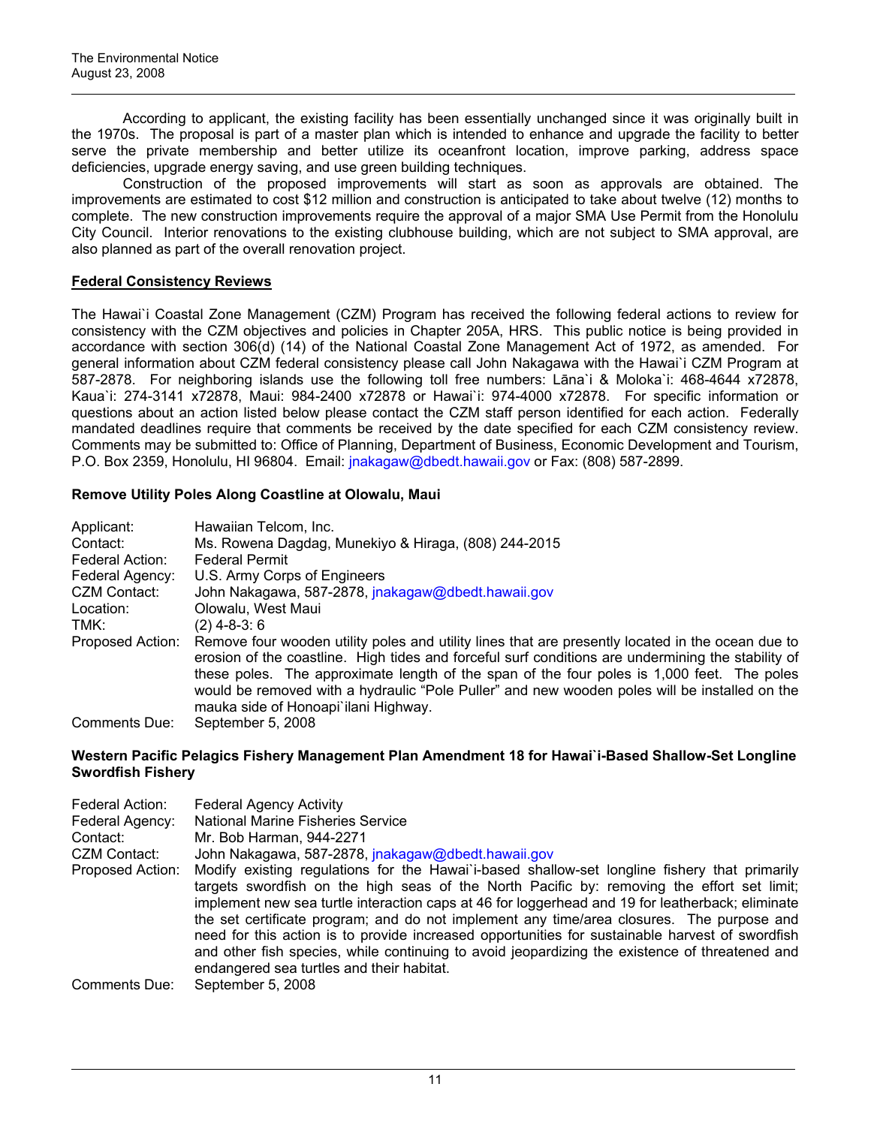According to applicant, the existing facility has been essentially unchanged since it was originally built in the 1970s. The proposal is part of a master plan which is intended to enhance and upgrade the facility to better serve the private membership and better utilize its oceanfront location, improve parking, address space deficiencies, upgrade energy saving, and use green building techniques.

 Construction of the proposed improvements will start as soon as approvals are obtained. The improvements are estimated to cost \$12 million and construction is anticipated to take about twelve (12) months to complete. The new construction improvements require the approval of a major SMA Use Permit from the Honolulu City Council. Interior renovations to the existing clubhouse building, which are not subject to SMA approval, are also planned as part of the overall renovation project.

# **Federal Consistency Reviews**

The Hawai`i Coastal Zone Management (CZM) Program has received the following federal actions to review for consistency with the CZM objectives and policies in Chapter 205A, HRS. This public notice is being provided in accordance with section 306(d) (14) of the National Coastal Zone Management Act of 1972, as amended. For general information about CZM federal consistency please call John Nakagawa with the Hawai`i CZM Program at 587-2878. For neighboring islands use the following toll free numbers: Lāna`i & Moloka`i: 468-4644 x72878, Kaua`i: 274-3141 x72878, Maui: 984-2400 x72878 or Hawai`i: 974-4000 x72878. For specific information or questions about an action listed below please contact the CZM staff person identified for each action. Federally mandated deadlines require that comments be received by the date specified for each CZM consistency review. Comments may be submitted to: Office of Planning, Department of Business, Economic Development and Tourism, P.O. Box 2359, Honolulu, HI 96804. Email: [jnakagaw@dbedt.hawaii.gov](mailto:jnakagaw@dbedt.hawaii.gov) or Fax: (808) 587-2899.

# **Remove Utility Poles Along Coastline at Olowalu, Maui**

| Applicant:       | Hawaiian Telcom, Inc.                                                                                                                                                                                   |
|------------------|---------------------------------------------------------------------------------------------------------------------------------------------------------------------------------------------------------|
| Contact:         | Ms. Rowena Dagdag, Munekiyo & Hiraga, (808) 244-2015                                                                                                                                                    |
| Federal Action:  | <b>Federal Permit</b>                                                                                                                                                                                   |
| Federal Agency:  | U.S. Army Corps of Engineers                                                                                                                                                                            |
| CZM Contact:     | John Nakagawa, 587-2878, jnakagaw@dbedt.hawaii.gov                                                                                                                                                      |
| Location:        | Olowalu, West Maui                                                                                                                                                                                      |
| TMK:             | (2) 4-8-3: 6                                                                                                                                                                                            |
| Proposed Action: | Remove four wooden utility poles and utility lines that are presently located in the ocean due to<br>erosion of the coastline. High tides and forceful surf conditions are undermining the stability of |
|                  | these poles. The approximate length of the span of the four poles is 1,000 feet. The poles<br>would be removed with a hydraulic "Pole Puller" and new wooden poles will be installed on the             |
|                  | mauka side of Honoapi ilani Highway.                                                                                                                                                                    |
| Comments Due:    | September 5, 2008                                                                                                                                                                                       |

#### **Western Pacific Pelagics Fishery Management Plan Amendment 18 for Hawai`i-Based Shallow-Set Longline Swordfish Fishery**

| Federal Action:  | <b>Federal Agency Activity</b>                                                                                                                                                                                                                                                                                                                                                                                                                                                                                                                                                                                                                 |
|------------------|------------------------------------------------------------------------------------------------------------------------------------------------------------------------------------------------------------------------------------------------------------------------------------------------------------------------------------------------------------------------------------------------------------------------------------------------------------------------------------------------------------------------------------------------------------------------------------------------------------------------------------------------|
| Federal Agency:  | <b>National Marine Fisheries Service</b>                                                                                                                                                                                                                                                                                                                                                                                                                                                                                                                                                                                                       |
| Contact:         | Mr. Bob Harman, 944-2271                                                                                                                                                                                                                                                                                                                                                                                                                                                                                                                                                                                                                       |
| CZM Contact:     | John Nakagawa, 587-2878, jnakagaw@dbedt.hawaii.gov                                                                                                                                                                                                                                                                                                                                                                                                                                                                                                                                                                                             |
| Proposed Action: | Modify existing regulations for the Hawai i-based shallow-set longline fishery that primarily<br>targets swordfish on the high seas of the North Pacific by: removing the effort set limit;<br>implement new sea turtle interaction caps at 46 for loggerhead and 19 for leatherback; eliminate<br>the set certificate program; and do not implement any time/area closures. The purpose and<br>need for this action is to provide increased opportunities for sustainable harvest of swordfish<br>and other fish species, while continuing to avoid jeopardizing the existence of threatened and<br>endangered sea turtles and their habitat. |
| Comments Due:    | September 5, 2008                                                                                                                                                                                                                                                                                                                                                                                                                                                                                                                                                                                                                              |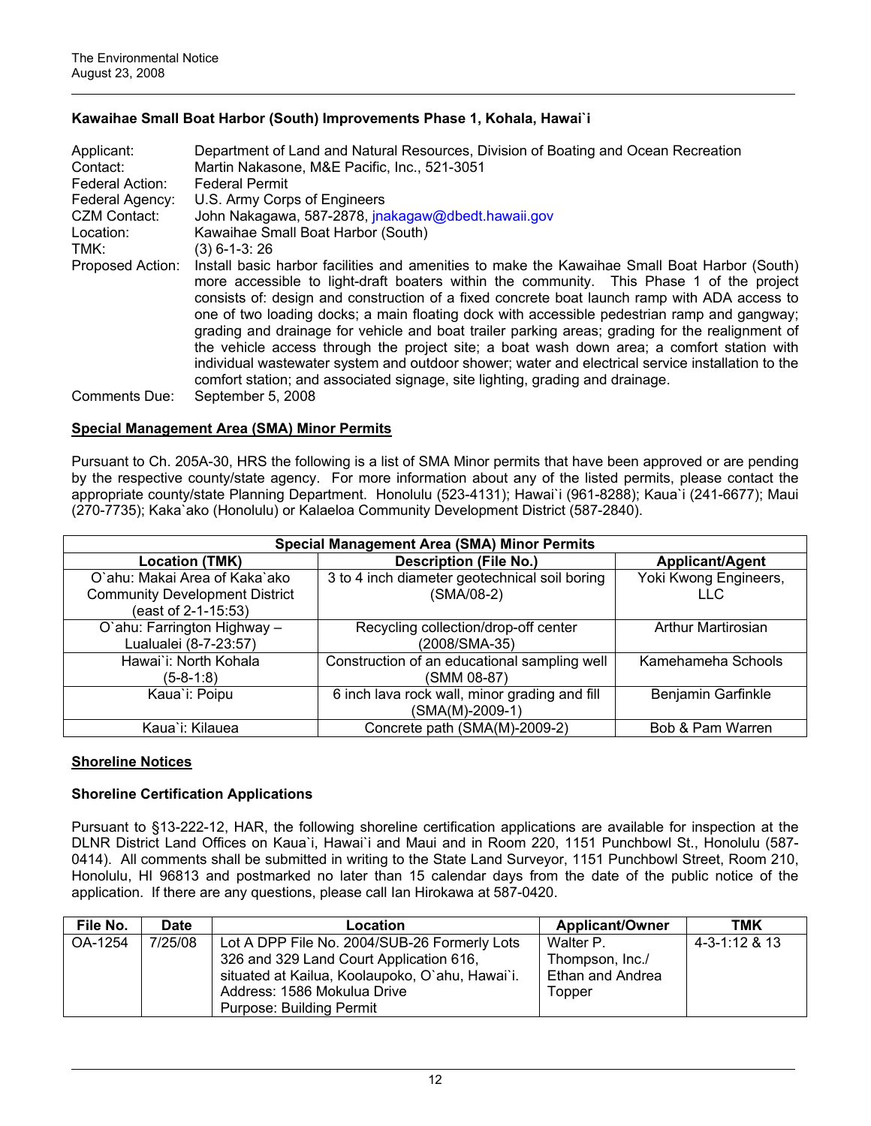# **Kawaihae Small Boat Harbor (South) Improvements Phase 1, Kohala, Hawai`i**

| Applicant:<br>Contact: | Department of Land and Natural Resources, Division of Boating and Ocean Recreation<br>Martin Nakasone, M&E Pacific, Inc., 521-3051                                                                                                                                                                                                                                                                                                                                                                                                                                                                                                                                                                                                                                             |
|------------------------|--------------------------------------------------------------------------------------------------------------------------------------------------------------------------------------------------------------------------------------------------------------------------------------------------------------------------------------------------------------------------------------------------------------------------------------------------------------------------------------------------------------------------------------------------------------------------------------------------------------------------------------------------------------------------------------------------------------------------------------------------------------------------------|
| Federal Action:        | <b>Federal Permit</b>                                                                                                                                                                                                                                                                                                                                                                                                                                                                                                                                                                                                                                                                                                                                                          |
| Federal Agency:        | U.S. Army Corps of Engineers                                                                                                                                                                                                                                                                                                                                                                                                                                                                                                                                                                                                                                                                                                                                                   |
| CZM Contact:           | John Nakagawa, 587-2878, jnakagaw@dbedt.hawaii.gov                                                                                                                                                                                                                                                                                                                                                                                                                                                                                                                                                                                                                                                                                                                             |
| Location:              | Kawaihae Small Boat Harbor (South)                                                                                                                                                                                                                                                                                                                                                                                                                                                                                                                                                                                                                                                                                                                                             |
| TMK:                   | $(3)$ 6-1-3: 26                                                                                                                                                                                                                                                                                                                                                                                                                                                                                                                                                                                                                                                                                                                                                                |
| Proposed Action:       | Install basic harbor facilities and amenities to make the Kawaihae Small Boat Harbor (South)<br>more accessible to light-draft boaters within the community. This Phase 1 of the project<br>consists of: design and construction of a fixed concrete boat launch ramp with ADA access to<br>one of two loading docks; a main floating dock with accessible pedestrian ramp and gangway;<br>grading and drainage for vehicle and boat trailer parking areas; grading for the realignment of<br>the vehicle access through the project site; a boat wash down area; a comfort station with<br>individual wastewater system and outdoor shower; water and electrical service installation to the<br>comfort station; and associated signage, site lighting, grading and drainage. |
| Comments Due:          | September 5, 2008                                                                                                                                                                                                                                                                                                                                                                                                                                                                                                                                                                                                                                                                                                                                                              |

#### **Special Management Area (SMA) Minor Permits**

Pursuant to Ch. 205A-30, HRS the following is a list of SMA Minor permits that have been approved or are pending by the respective county/state agency. For more information about any of the listed permits, please contact the appropriate county/state Planning Department. Honolulu (523-4131); Hawai`i (961-8288); Kaua`i (241-6677); Maui (270-7735); Kaka`ako (Honolulu) or Kalaeloa Community Development District (587-2840).

| <b>Special Management Area (SMA) Minor Permits</b> |                                               |                           |  |  |
|----------------------------------------------------|-----------------------------------------------|---------------------------|--|--|
| <b>Location (TMK)</b>                              | <b>Description (File No.)</b>                 | Applicant/Agent           |  |  |
| O'ahu: Makai Area of Kaka'ako                      | 3 to 4 inch diameter geotechnical soil boring | Yoki Kwong Engineers,     |  |  |
| <b>Community Development District</b>              | (SMA/08-2)                                    | TEC.                      |  |  |
| (east of 2-1-15:53)                                |                                               |                           |  |  |
| O'ahu: Farrington Highway -                        | Recycling collection/drop-off center          | <b>Arthur Martirosian</b> |  |  |
| Lualualei (8-7-23:57)                              | (2008/SMA-35)                                 |                           |  |  |
| Hawai'i: North Kohala                              | Construction of an educational sampling well  | Kamehameha Schools        |  |  |
| $(5-8-1:8)$                                        | (SMM 08-87)                                   |                           |  |  |
| Kaua'i: Poipu                                      | 6 inch lava rock wall, minor grading and fill | Benjamin Garfinkle        |  |  |
|                                                    | (SMA(M)-2009-1)                               |                           |  |  |
| Kaua`i: Kilauea                                    | Concrete path (SMA(M)-2009-2)                 | Bob & Pam Warren          |  |  |

# **Shoreline Notices**

# **Shoreline Certification Applications**

Pursuant to §13-222-12, HAR, the following shoreline certification applications are available for inspection at the DLNR District Land Offices on Kaua`i, Hawai`i and Maui and in Room 220, 1151 Punchbowl St., Honolulu (587- 0414). All comments shall be submitted in writing to the State Land Surveyor, 1151 Punchbowl Street, Room 210, Honolulu, HI 96813 and postmarked no later than 15 calendar days from the date of the public notice of the application. If there are any questions, please call Ian Hirokawa at 587-0420.

| File No. | <b>Date</b> | Location                                        | <b>Applicant/Owner</b> | тмк           |
|----------|-------------|-------------------------------------------------|------------------------|---------------|
| OA-1254  | 7/25/08     | Lot A DPP File No. 2004/SUB-26 Formerly Lots    | Walter P.              | 4-3-1:12 & 13 |
|          |             | 326 and 329 Land Court Application 616,         | Thompson, Inc./        |               |
|          |             | situated at Kailua, Koolaupoko, O'ahu, Hawai'i. | Ethan and Andrea       |               |
|          |             | Address: 1586 Mokulua Drive                     | Topper                 |               |
|          |             | <b>Purpose: Building Permit</b>                 |                        |               |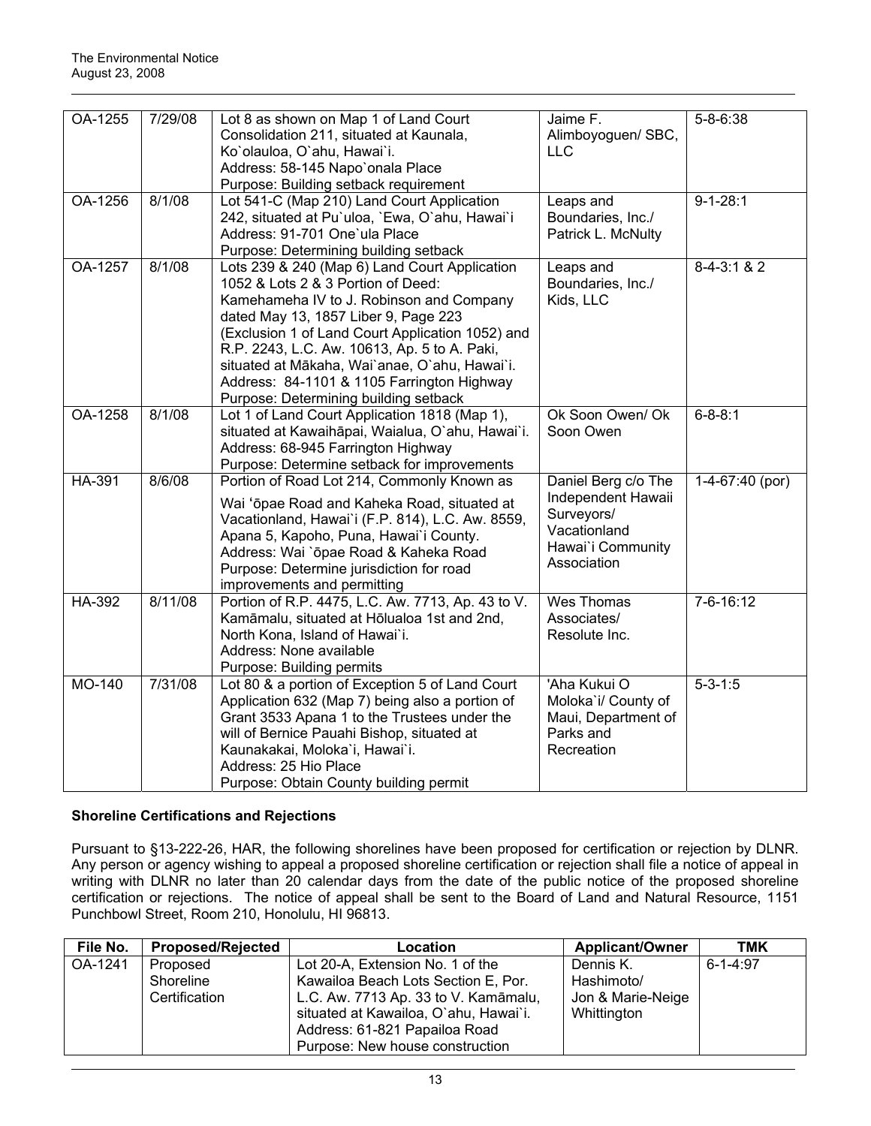| OA-1255 | 7/29/08 | Lot 8 as shown on Map 1 of Land Court<br>Consolidation 211, situated at Kaunala,<br>Ko'olauloa, O'ahu, Hawai'i.<br>Address: 58-145 Napo'onala Place<br>Purpose: Building setback requirement                                                                                                                                                                                                                        | Jaime F.<br>Alimboyoguen/ SBC,<br><b>LLC</b>                                                                | $5 - 8 - 6:38$  |
|---------|---------|---------------------------------------------------------------------------------------------------------------------------------------------------------------------------------------------------------------------------------------------------------------------------------------------------------------------------------------------------------------------------------------------------------------------|-------------------------------------------------------------------------------------------------------------|-----------------|
| OA-1256 | 8/1/08  | Lot 541-C (Map 210) Land Court Application<br>242, situated at Pu'uloa, 'Ewa, O'ahu, Hawai'i<br>Address: 91-701 One'ula Place<br>Purpose: Determining building setback                                                                                                                                                                                                                                              | Leaps and<br>Boundaries, Inc./<br>Patrick L. McNulty                                                        | $9 - 1 - 28:1$  |
| OA-1257 | 8/1/08  | Lots 239 & 240 (Map 6) Land Court Application<br>1052 & Lots 2 & 3 Portion of Deed:<br>Kamehameha IV to J. Robinson and Company<br>dated May 13, 1857 Liber 9, Page 223<br>(Exclusion 1 of Land Court Application 1052) and<br>R.P. 2243, L.C. Aw. 10613, Ap. 5 to A. Paki,<br>situated at Mākaha, Wai'anae, O'ahu, Hawai'i.<br>Address: 84-1101 & 1105 Farrington Highway<br>Purpose: Determining building setback | Leaps and<br>Boundaries, Inc./<br>Kids, LLC                                                                 | $8-4-3:1 & 2$   |
| OA-1258 | 8/1/08  | Lot 1 of Land Court Application 1818 (Map 1),<br>situated at Kawaihāpai, Waialua, O'ahu, Hawai'i.<br>Address: 68-945 Farrington Highway<br>Purpose: Determine setback for improvements                                                                                                                                                                                                                              | Ok Soon Owen/ Ok<br>Soon Owen                                                                               | $6 - 8 - 8:1$   |
| HA-391  | 8/6/08  | Portion of Road Lot 214, Commonly Known as<br>Wai 'ōpae Road and Kaheka Road, situated at<br>Vacationland, Hawai'i (F.P. 814), L.C. Aw. 8559,<br>Apana 5, Kapoho, Puna, Hawai'i County.<br>Address: Wai `ōpae Road & Kaheka Road<br>Purpose: Determine jurisdiction for road<br>improvements and permitting                                                                                                         | Daniel Berg c/o The<br>Independent Hawaii<br>Surveyors/<br>Vacationland<br>Hawai'i Community<br>Association | 1-4-67:40 (por) |
| HA-392  | 8/11/08 | Portion of R.P. 4475, L.C. Aw. 7713, Ap. 43 to V.<br>Kamāmalu, situated at Hōlualoa 1st and 2nd,<br>North Kona, Island of Hawai'i.<br>Address: None available<br>Purpose: Building permits                                                                                                                                                                                                                          | Wes Thomas<br>Associates/<br>Resolute Inc.                                                                  | 7-6-16:12       |
| MO-140  | 7/31/08 | Lot 80 & a portion of Exception 5 of Land Court<br>Application 632 (Map 7) being also a portion of<br>Grant 3533 Apana 1 to the Trustees under the<br>will of Bernice Pauahi Bishop, situated at<br>Kaunakakai, Moloka'i, Hawai'i.<br>Address: 25 Hio Place<br>Purpose: Obtain County building permit                                                                                                               | 'Aha Kukui O<br>Moloka'i/ County of<br>Maui, Department of<br>Parks and<br>Recreation                       | $5 - 3 - 1:5$   |

# **Shoreline Certifications and Rejections**

Pursuant to §13-222-26, HAR, the following shorelines have been proposed for certification or rejection by DLNR. Any person or agency wishing to appeal a proposed shoreline certification or rejection shall file a notice of appeal in writing with DLNR no later than 20 calendar days from the date of the public notice of the proposed shoreline certification or rejections. The notice of appeal shall be sent to the Board of Land and Natural Resource, 1151 Punchbowl Street, Room 210, Honolulu, HI 96813.

| File No. | <b>Proposed/Rejected</b>               | Location                                                                                                                                                                                  | <b>Applicant/Owner</b>                                      | TMK            |
|----------|----------------------------------------|-------------------------------------------------------------------------------------------------------------------------------------------------------------------------------------------|-------------------------------------------------------------|----------------|
| OA-1241  | Proposed<br>Shoreline<br>Certification | Lot 20-A, Extension No. 1 of the<br>Kawailoa Beach Lots Section E, Por.<br>L.C. Aw. 7713 Ap. 33 to V. Kamāmalu,<br>situated at Kawailoa, O'ahu, Hawai'i.<br>Address: 61-821 Papailoa Road | Dennis K.<br>Hashimoto/<br>Jon & Marie-Neige<br>Whittington | $6 - 1 - 4:97$ |
|          |                                        | Purpose: New house construction                                                                                                                                                           |                                                             |                |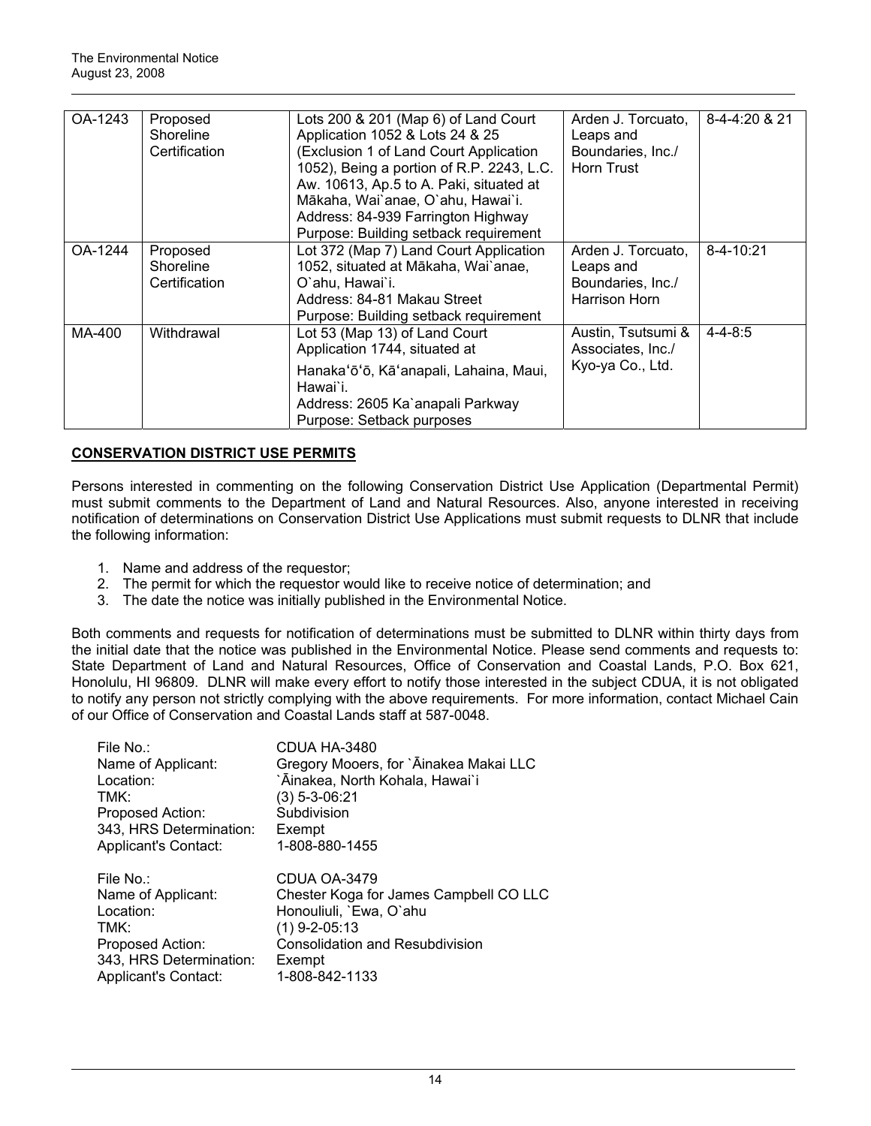| OA-1243 | Proposed<br>Shoreline | Lots 200 & 201 (Map 6) of Land Court<br>Application 1052 & Lots 24 & 25 | Arden J. Torcuato,<br>Leaps and | 8-4-4:20 & 21   |
|---------|-----------------------|-------------------------------------------------------------------------|---------------------------------|-----------------|
|         |                       |                                                                         |                                 |                 |
|         | Certification         | (Exclusion 1 of Land Court Application                                  | Boundaries, Inc./               |                 |
|         |                       | 1052), Being a portion of R.P. 2243, L.C.                               | <b>Horn Trust</b>               |                 |
|         |                       | Aw. 10613, Ap.5 to A. Paki, situated at                                 |                                 |                 |
|         |                       | Mākaha, Wai`anae, O`ahu, Hawai`i.                                       |                                 |                 |
|         |                       | Address: 84-939 Farrington Highway                                      |                                 |                 |
|         |                       | Purpose: Building setback requirement                                   |                                 |                 |
| OA-1244 | Proposed              | Lot 372 (Map 7) Land Court Application                                  | Arden J. Torcuato,              | $8 - 4 - 10:21$ |
|         | Shoreline             | 1052, situated at Mākaha, Wai`anae,                                     | Leaps and                       |                 |
|         | Certification         | O`ahu. Hawai`i.                                                         | Boundaries, Inc./               |                 |
|         |                       | Address: 84-81 Makau Street                                             | Harrison Horn                   |                 |
|         |                       | Purpose: Building setback requirement                                   |                                 |                 |
| MA-400  | Withdrawal            | Lot 53 (Map 13) of Land Court                                           | Austin, Tsutsumi &              | $4 - 4 - 8:5$   |
|         |                       | Application 1744, situated at                                           | Associates, Inc./               |                 |
|         |                       | Hanaka'ō'ō, Kā'anapali, Lahaina, Maui,                                  | Kyo-ya Co., Ltd.                |                 |
|         |                       | Hawai`i.                                                                |                                 |                 |
|         |                       |                                                                         |                                 |                 |
|         |                       | Address: 2605 Ka`anapali Parkway                                        |                                 |                 |
|         |                       | Purpose: Setback purposes                                               |                                 |                 |

# **CONSERVATION DISTRICT USE PERMITS**

Persons interested in commenting on the following Conservation District Use Application (Departmental Permit) must submit comments to the Department of Land and Natural Resources. Also, anyone interested in receiving notification of determinations on Conservation District Use Applications must submit requests to DLNR that include the following information:

- 1. Name and address of the requestor;
- 2. The permit for which the requestor would like to receive notice of determination; and
- 3. The date the notice was initially published in the Environmental Notice.

Both comments and requests for notification of determinations must be submitted to DLNR within thirty days from the initial date that the notice was published in the Environmental Notice. Please send comments and requests to: State Department of Land and Natural Resources, Office of Conservation and Coastal Lands, P.O. Box 621, Honolulu, HI 96809. DLNR will make every effort to notify those interested in the subject CDUA, it is not obligated to notify any person not strictly complying with the above requirements. For more information, contact Michael Cain of our Office of Conservation and Coastal Lands staff at 587-0048.

| File No.:               | CDUA HA-3480                           |
|-------------------------|----------------------------------------|
| Name of Applicant:      | Gregory Mooers, for `Ainakea Makai LLC |
| Location:               | `Āinakea, North Kohala, Hawai`i        |
| TMK:                    | $(3)$ 5-3-06:21                        |
| Proposed Action:        | Subdivision                            |
| 343, HRS Determination: | Exempt                                 |
| Applicant's Contact:    | 1-808-880-1455                         |
|                         |                                        |
| File No.:               | CDUA OA-3479                           |
| Name of Applicant:      | Chester Koga for James Campbell CO LLC |
|                         |                                        |
| Location:               | Honouliuli, `Ewa, O`ahu                |
| TMK:                    | $(1)$ 9-2-05:13                        |
| Proposed Action:        | <b>Consolidation and Resubdivision</b> |
| 343, HRS Determination: | Exempt                                 |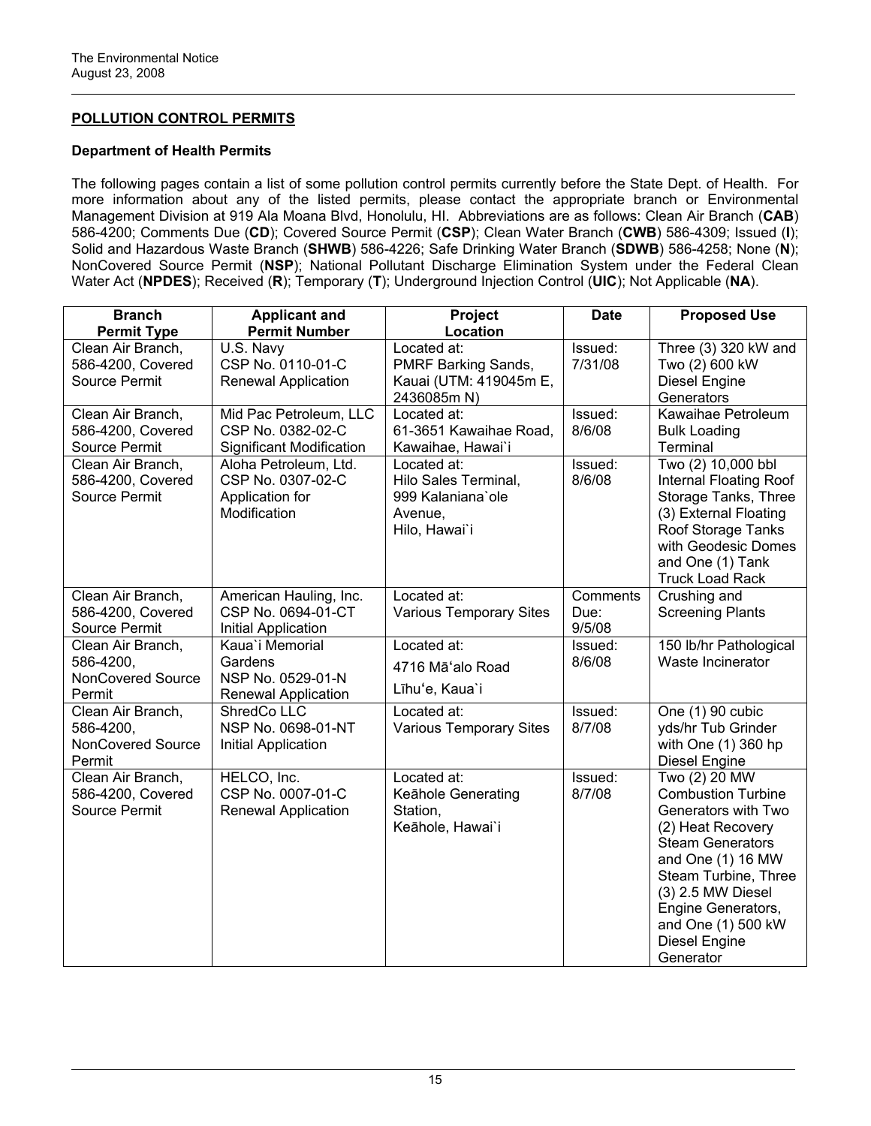# **POLLUTION CONTROL PERMITS**

## **Department of Health Permits**

The following pages contain a list of some pollution control permits currently before the State Dept. of Health. For more information about any of the listed permits, please contact the appropriate branch or Environmental Management Division at 919 Ala Moana Blvd, Honolulu, HI. Abbreviations are as follows: Clean Air Branch (**CAB**) 586-4200; Comments Due (**CD**); Covered Source Permit (**CSP**); Clean Water Branch (**CWB**) 586-4309; Issued (**I**); Solid and Hazardous Waste Branch (**SHWB**) 586-4226; Safe Drinking Water Branch (**SDWB**) 586-4258; None (**N**); NonCovered Source Permit (**NSP**); National Pollutant Discharge Elimination System under the Federal Clean Water Act (**NPDES**); Received (**R**); Temporary (**T**); Underground Injection Control (**UIC**); Not Applicable (**NA**).

| <b>Branch</b><br><b>Permit Type</b>                           | <b>Applicant and</b><br><b>Permit Number</b>                                  | Project<br>Location                                                                  | <b>Date</b>                | <b>Proposed Use</b>                                                                                                                                                                                                                                           |
|---------------------------------------------------------------|-------------------------------------------------------------------------------|--------------------------------------------------------------------------------------|----------------------------|---------------------------------------------------------------------------------------------------------------------------------------------------------------------------------------------------------------------------------------------------------------|
| Clean Air Branch,<br>586-4200, Covered<br>Source Permit       | U.S. Navy<br>CSP No. 0110-01-C<br><b>Renewal Application</b>                  | Located at:<br>PMRF Barking Sands,<br>Kauai (UTM: 419045m E,<br>2436085m N)          | Issued:<br>7/31/08         | Three (3) 320 kW and<br>Two (2) 600 kW<br><b>Diesel Engine</b><br>Generators                                                                                                                                                                                  |
| Clean Air Branch,<br>586-4200, Covered<br>Source Permit       | Mid Pac Petroleum, LLC<br>CSP No. 0382-02-C<br>Significant Modification       | Located at:<br>61-3651 Kawaihae Road,<br>Kawaihae, Hawai`i                           | Issued:<br>8/6/08          | Kawaihae Petroleum<br><b>Bulk Loading</b><br>Terminal                                                                                                                                                                                                         |
| Clean Air Branch,<br>586-4200, Covered<br>Source Permit       | Aloha Petroleum, Ltd.<br>CSP No. 0307-02-C<br>Application for<br>Modification | Located at:<br>Hilo Sales Terminal,<br>999 Kalaniana'ole<br>Avenue,<br>Hilo, Hawai'i | Issued:<br>8/6/08          | Two (2) 10,000 bbl<br><b>Internal Floating Roof</b><br>Storage Tanks, Three<br>(3) External Floating<br>Roof Storage Tanks<br>with Geodesic Domes<br>and One (1) Tank<br><b>Truck Load Rack</b>                                                               |
| Clean Air Branch,<br>586-4200, Covered<br>Source Permit       | American Hauling, Inc.<br>CSP No. 0694-01-CT<br>Initial Application           | Located at:<br><b>Various Temporary Sites</b>                                        | Comments<br>Due:<br>9/5/08 | Crushing and<br><b>Screening Plants</b>                                                                                                                                                                                                                       |
| Clean Air Branch,<br>586-4200,<br>NonCovered Source<br>Permit | Kaua'i Memorial<br>Gardens<br>NSP No. 0529-01-N<br>Renewal Application        | Located at:<br>4716 Mā'alo Road<br>Līhu'e, Kaua'i                                    | Issued:<br>8/6/08          | 150 lb/hr Pathological<br>Waste Incinerator                                                                                                                                                                                                                   |
| Clean Air Branch,<br>586-4200,<br>NonCovered Source<br>Permit | ShredCo LLC<br>NSP No. 0698-01-NT<br>Initial Application                      | Located at:<br><b>Various Temporary Sites</b>                                        | Issued:<br>8/7/08          | One (1) 90 cubic<br>yds/hr Tub Grinder<br>with One (1) 360 hp<br><b>Diesel Engine</b>                                                                                                                                                                         |
| Clean Air Branch,<br>586-4200, Covered<br>Source Permit       | HELCO, Inc.<br>CSP No. 0007-01-C<br><b>Renewal Application</b>                | Located at:<br>Keāhole Generating<br>Station,<br>Keāhole, Hawai'i                    | Issued:<br>8/7/08          | Two (2) 20 MW<br><b>Combustion Turbine</b><br>Generators with Two<br>(2) Heat Recovery<br><b>Steam Generators</b><br>and One (1) 16 MW<br>Steam Turbine, Three<br>(3) 2.5 MW Diesel<br>Engine Generators,<br>and One (1) 500 kW<br>Diesel Engine<br>Generator |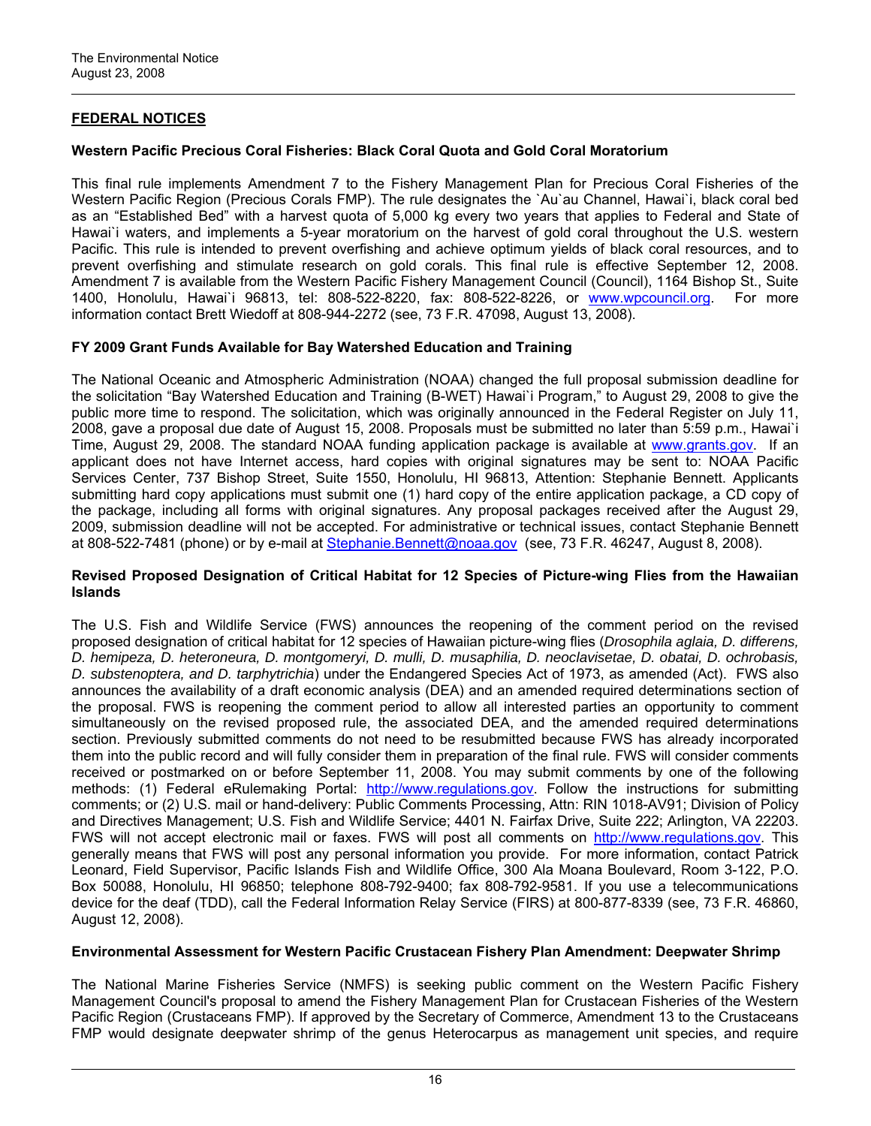# **FEDERAL NOTICES**

## **Western Pacific Precious Coral Fisheries: Black Coral Quota and Gold Coral Moratorium**

This final rule implements Amendment 7 to the Fishery Management Plan for Precious Coral Fisheries of the Western Pacific Region (Precious Corals FMP). The rule designates the `Au`au Channel, Hawai`i, black coral bed as an "Established Bed" with a harvest quota of 5,000 kg every two years that applies to Federal and State of Hawai'i waters, and implements a 5-year moratorium on the harvest of gold coral throughout the U.S. western Pacific. This rule is intended to prevent overfishing and achieve optimum yields of black coral resources, and to prevent overfishing and stimulate research on gold corals. This final rule is effective September 12, 2008. Amendment 7 is available from the Western Pacific Fishery Management Council (Council), 1164 Bishop St., Suite 1400, Honolulu, Hawai`i 96813, tel: 808-522-8220, fax: 808-522-8226, or [www.wpcouncil.org.](http://frwebgate.access.gpo.gov/cgi-bin/leaving.cgi?from=leavingFR.html&log=linklog&to=http://www.wpcouncil.org) For more information contact Brett Wiedoff at 808-944-2272 (see, 73 F.R. 47098, August 13, 2008).

# **FY 2009 Grant Funds Available for Bay Watershed Education and Training**

The National Oceanic and Atmospheric Administration (NOAA) changed the full proposal submission deadline for the solicitation "Bay Watershed Education and Training (B-WET) Hawai`i Program," to August 29, 2008 to give the public more time to respond. The solicitation, which was originally announced in the Federal Register on July 11, 2008, gave a proposal due date of August 15, 2008. Proposals must be submitted no later than 5:59 p.m., Hawai`i Time, August 29, 2008. The standard NOAA funding application package is available at [www.grants.gov.](http://frwebgate.access.gpo.gov/cgi-bin/leaving.cgi?from=leavingFR.html&log=linklog&to=http://www.grants.gov) If an applicant does not have Internet access, hard copies with original signatures may be sent to: NOAA Pacific Services Center, 737 Bishop Street, Suite 1550, Honolulu, HI 96813, Attention: Stephanie Bennett. Applicants submitting hard copy applications must submit one (1) hard copy of the entire application package, a CD copy of the package, including all forms with original signatures. Any proposal packages received after the August 29, 2009, submission deadline will not be accepted. For administrative or technical issues, contact Stephanie Bennett at 808-522-7481 (phone) or by e-mail at [Stephanie.Bennett@noaa.gov](mailto:Stephanie.Bennett@noaa.gov) (see, 73 F.R. 46247, August 8, 2008).

#### **Revised Proposed Designation of Critical Habitat for 12 Species of Picture-wing Flies from the Hawaiian Islands**

The U.S. Fish and Wildlife Service (FWS) announces the reopening of the comment period on the revised proposed designation of critical habitat for 12 species of Hawaiian picture-wing flies (*Drosophila aglaia, D. differens, D. hemipeza, D. heteroneura, D. montgomeryi, D. mulli, D. musaphilia, D. neoclavisetae, D. obatai, D. ochrobasis, D. substenoptera, and D. tarphytrichia*) under the Endangered Species Act of 1973, as amended (Act). FWS also announces the availability of a draft economic analysis (DEA) and an amended required determinations section of the proposal. FWS is reopening the comment period to allow all interested parties an opportunity to comment simultaneously on the revised proposed rule, the associated DEA, and the amended required determinations section. Previously submitted comments do not need to be resubmitted because FWS has already incorporated them into the public record and will fully consider them in preparation of the final rule. FWS will consider comments received or postmarked on or before September 11, 2008. You may submit comments by one of the following methods: (1) Federal eRulemaking Portal: [http://www.regulations.gov](http://frwebgate.access.gpo.gov/cgi-bin/leaving.cgi?from=leavingFR.html&log=linklog&to=http://www.regulations.gov). Follow the instructions for submitting comments; or (2) U.S. mail or hand-delivery: Public Comments Processing, Attn: RIN 1018-AV91; Division of Policy and Directives Management; U.S. Fish and Wildlife Service; 4401 N. Fairfax Drive, Suite 222; Arlington, VA 22203. FWS will not accept electronic mail or faxes. FWS will post all comments on [http://www.regulations.gov.](http://frwebgate.access.gpo.gov/cgi-bin/leaving.cgi?from=leavingFR.html&log=linklog&to=http://www.regulations.gov) This generally means that FWS will post any personal information you provide. For more information, contact Patrick Leonard, Field Supervisor, Pacific Islands Fish and Wildlife Office, 300 Ala Moana Boulevard, Room 3-122, P.O. Box 50088, Honolulu, HI 96850; telephone 808-792-9400; fax 808-792-9581. If you use a telecommunications device for the deaf (TDD), call the Federal Information Relay Service (FIRS) at 800-877-8339 (see, 73 F.R. 46860, August 12, 2008).

#### **Environmental Assessment for Western Pacific Crustacean Fishery Plan Amendment: Deepwater Shrimp**

The National Marine Fisheries Service (NMFS) is seeking public comment on the Western Pacific Fishery Management Council's proposal to amend the Fishery Management Plan for Crustacean Fisheries of the Western Pacific Region (Crustaceans FMP). If approved by the Secretary of Commerce, Amendment 13 to the Crustaceans FMP would designate deepwater shrimp of the genus Heterocarpus as management unit species, and require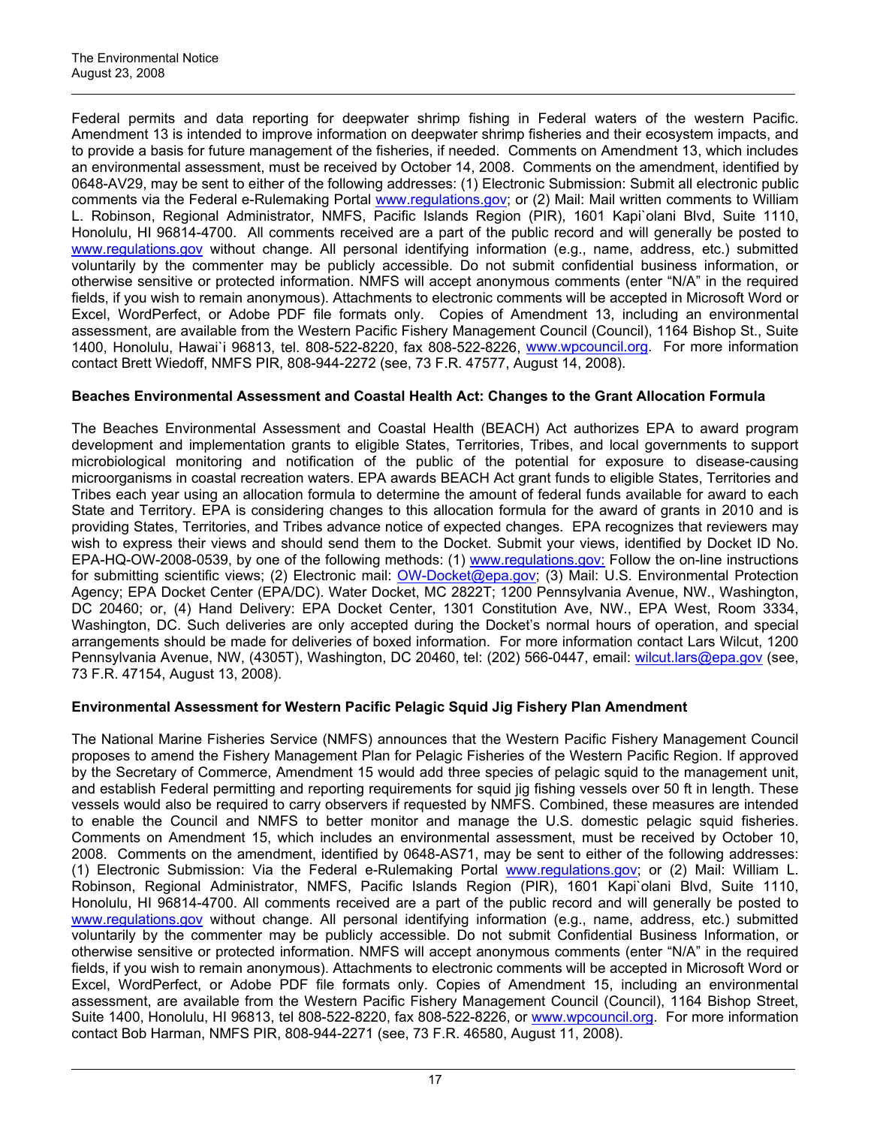Federal permits and data reporting for deepwater shrimp fishing in Federal waters of the western Pacific. Amendment 13 is intended to improve information on deepwater shrimp fisheries and their ecosystem impacts, and to provide a basis for future management of the fisheries, if needed. Comments on Amendment 13, which includes an environmental assessment, must be received by October 14, 2008. Comments on the amendment, identified by 0648-AV29, may be sent to either of the following addresses: (1) Electronic Submission: Submit all electronic public comments via the Federal e-Rulemaking Portal [www.regulations.gov](http://frwebgate.access.gpo.gov/cgi-bin/leaving.cgi?from=leavingFR.html&log=linklog&to=http://www.regulations.gov); or (2) Mail: Mail written comments to William L. Robinson, Regional Administrator, NMFS, Pacific Islands Region (PIR), 1601 Kapi`olani Blvd, Suite 1110, Honolulu, HI 96814-4700. All comments received are a part of the public record and will generally be posted to [www.regulations.gov](http://frwebgate.access.gpo.gov/cgi-bin/leaving.cgi?from=leavingFR.html&log=linklog&to=http://www.regulations.gov) without change. All personal identifying information (e.g., name, address, etc.) submitted voluntarily by the commenter may be publicly accessible. Do not submit confidential business information, or otherwise sensitive or protected information. NMFS will accept anonymous comments (enter "N/A" in the required fields, if you wish to remain anonymous). Attachments to electronic comments will be accepted in Microsoft Word or Excel, WordPerfect, or Adobe PDF file formats only. Copies of Amendment 13, including an environmental assessment, are available from the Western Pacific Fishery Management Council (Council), 1164 Bishop St., Suite 1400, Honolulu, Hawai`i 96813, tel. 808-522-8220, fax 808-522-8226, [www.wpcouncil.org.](http://frwebgate.access.gpo.gov/cgi-bin/leaving.cgi?from=leavingFR.html&log=linklog&to=http://www.wpcouncil.org) For more information contact Brett Wiedoff, NMFS PIR, 808-944-2272 (see, 73 F.R. 47577, August 14, 2008).

# **Beaches Environmental Assessment and Coastal Health Act: Changes to the Grant Allocation Formula**

The Beaches Environmental Assessment and Coastal Health (BEACH) Act authorizes EPA to award program development and implementation grants to eligible States, Territories, Tribes, and local governments to support microbiological monitoring and notification of the public of the potential for exposure to disease-causing microorganisms in coastal recreation waters. EPA awards BEACH Act grant funds to eligible States, Territories and Tribes each year using an allocation formula to determine the amount of federal funds available for award to each State and Territory. EPA is considering changes to this allocation formula for the award of grants in 2010 and is providing States, Territories, and Tribes advance notice of expected changes. EPA recognizes that reviewers may wish to express their views and should send them to the Docket. Submit your views, identified by Docket ID No. EPA-HQ-OW-2008-0539, by one of the following methods: (1) [www.regulations.gov:](http://frwebgate.access.gpo.gov/cgi-bin/leaving.cgi?from=leavingFR.html&log=linklog&to=http://www.regulations.gov:) Follow the on-line instructions for submitting scientific views; (2) Electronic mail: [OW-Docket@epa.gov;](mailto:OW-Docket@epa.gov) (3) Mail: U.S. Environmental Protection Agency; EPA Docket Center (EPA/DC). Water Docket, MC 2822T; 1200 Pennsylvania Avenue, NW., Washington, DC 20460; or, (4) Hand Delivery: EPA Docket Center, 1301 Constitution Ave, NW., EPA West, Room 3334, Washington, DC. Such deliveries are only accepted during the Docket's normal hours of operation, and special arrangements should be made for deliveries of boxed information. For more information contact Lars Wilcut, 1200 Pennsylvania Avenue, NW, (4305T), Washington, DC 20460, tel: (202) 566-0447, email: [wilcut.lars@epa.gov](mailto:wilcut.lars@epa.gov) (see, 73 F.R. 47154, August 13, 2008).

# **Environmental Assessment for Western Pacific Pelagic Squid Jig Fishery Plan Amendment**

The National Marine Fisheries Service (NMFS) announces that the Western Pacific Fishery Management Council proposes to amend the Fishery Management Plan for Pelagic Fisheries of the Western Pacific Region. If approved by the Secretary of Commerce, Amendment 15 would add three species of pelagic squid to the management unit, and establish Federal permitting and reporting requirements for squid jig fishing vessels over 50 ft in length. These vessels would also be required to carry observers if requested by NMFS. Combined, these measures are intended to enable the Council and NMFS to better monitor and manage the U.S. domestic pelagic squid fisheries. Comments on Amendment 15, which includes an environmental assessment, must be received by October 10, 2008. Comments on the amendment, identified by 0648-AS71, may be sent to either of the following addresses: (1) Electronic Submission: Via the Federal e-Rulemaking Portal [www.regulations.gov](http://frwebgate.access.gpo.gov/cgi-bin/leaving.cgi?from=leavingFR.html&log=linklog&to=http://www.regulations.gov); or (2) Mail: William L. Robinson, Regional Administrator, NMFS, Pacific Islands Region (PIR), 1601 Kapi`olani Blvd, Suite 1110, Honolulu, HI 96814-4700. All comments received are a part of the public record and will generally be posted to [www.regulations.gov](http://frwebgate.access.gpo.gov/cgi-bin/leaving.cgi?from=leavingFR.html&log=linklog&to=http://www.regulations.gov) without change. All personal identifying information (e.g., name, address, etc.) submitted voluntarily by the commenter may be publicly accessible. Do not submit Confidential Business Information, or otherwise sensitive or protected information. NMFS will accept anonymous comments (enter "N/A" in the required fields, if you wish to remain anonymous). Attachments to electronic comments will be accepted in Microsoft Word or Excel, WordPerfect, or Adobe PDF file formats only. Copies of Amendment 15, including an environmental assessment, are available from the Western Pacific Fishery Management Council (Council), 1164 Bishop Street, Suite 1400, Honolulu, HI 96813, tel 808-522-8220, fax 808-522-8226, or [www.wpcouncil.org.](http://frwebgate.access.gpo.gov/cgi-bin/leaving.cgi?from=leavingFR.html&log=linklog&to=http://www.wpcouncil.org) For more information contact Bob Harman, NMFS PIR, 808-944-2271 (see, 73 F.R. 46580, August 11, 2008).